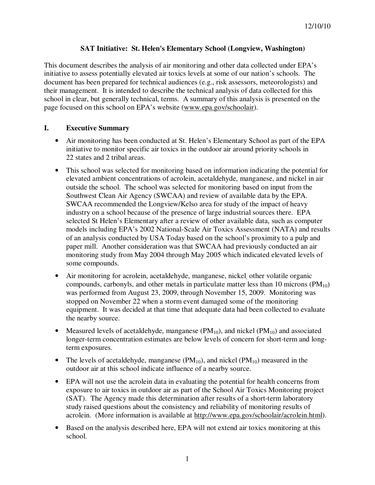### **SAT Initiative: St. Helen's Elementary School (Longview, Washington)**

This document describes the analysis of air monitoring and other data collected under EPA's initiative to assess potentially elevated air toxics levels at some of our nation's schools. The document has been prepared for technical audiences (e.g., risk assessors, meteorologists) and their management. It is intended to describe the technical analysis of data collected for this school in clear, but generally technical, terms. A summary of this analysis is presented on the page focused on this school on EPA's website (www.epa.gov/schoolair).

### **I. Executive Summary**

- Air monitoring has been conducted at St. Helen's Elementary School as part of the EPA initiative to monitor specific air toxics in the outdoor air around priority schools in 22 states and 2 tribal areas.
- This school was selected for monitoring based on information indicating the potential for elevated ambient concentrations of acrolein, acetaldehyde, manganese, and nickel in air outside the school. The school was selected for monitoring based on input from the Southwest Clean Air Agency (SWCAA) and review of available data by the EPA. SWCAA recommended the Longview/Kelso area for study of the impact of heavy industry on a school because of the presence of large industrial sources there. EPA selected St Helen's Elementary after a review of other available data, such as computer models including EPA's 2002 National-Scale Air Toxics Assessment (NATA) and results of an analysis conducted by USA Today based on the school's proximity to a pulp and paper mill. Another consideration was that SWCAA had previously conducted an air monitoring study from May 2004 through May 2005 which indicated elevated levels of some compounds.
- Air monitoring for acrolein, acetaldehyde, manganese, nickel other volatile organic compounds, carbonyls, and other metals in particulate matter less than 10 microns  $(PM_{10})$ was performed from August 23, 2009, through November 15, 2009. Monitoring was stopped on November 22 when a storm event damaged some of the monitoring equipment. It was decided at that time that adequate data had been collected to evaluate the nearby source.
- Measured levels of acetaldehyde, manganese  $(PM_{10})$ , and nickel  $(PM_{10})$  and associated longer-term concentration estimates are below levels of concern for short-term and longterm exposures.
- The levels of acetaldehyde, manganese  $(PM_{10})$ , and nickel  $(PM_{10})$  measured in the outdoor air at this school indicate influence of a nearby source.
- EPA will not use the acrolein data in evaluating the potential for health concerns from exposure to air toxics in outdoor air as part of the School Air Toxics Monitoring project (SAT). The Agency made this determination after results of a short-term laboratory study raised questions about the consistency and reliability of monitoring results of acrolein. (More information is available at http://www.epa.gov/schoolair/acrolein.html).
- Based on the analysis described here, EPA will not extend air toxics monitoring at this school.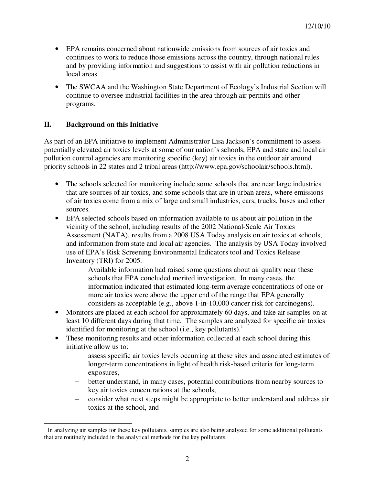- EPA remains concerned about nationwide emissions from sources of air toxics and continues to work to reduce those emissions across the country, through national rules and by providing information and suggestions to assist with air pollution reductions in local areas.
- The SWCAA and the Washington State Department of Ecology's Industrial Section will continue to oversee industrial facilities in the area through air permits and other programs.

# **II. Background on this Initiative**

As part of an EPA initiative to implement Administrator Lisa Jackson's commitment to assess potentially elevated air toxics levels at some of our nation's schools, EPA and state and local air pollution control agencies are monitoring specific (key) air toxics in the outdoor air around priority schools in 22 states and 2 tribal areas (http://www.epa.gov/schoolair/schools.html).

- The schools selected for monitoring include some schools that are near large industries that are sources of air toxics, and some schools that are in urban areas, where emissions of air toxics come from a mix of large and small industries, cars, trucks, buses and other sources.
- EPA selected schools based on information available to us about air pollution in the vicinity of the school, including results of the 2002 National-Scale Air Toxics Assessment (NATA), results from a 2008 USA Today analysis on air toxics at schools, and information from state and local air agencies. The analysis by USA Today involved use of EPA's Risk Screening Environmental Indicators tool and Toxics Release Inventory (TRI) for 2005.
	- − Available information had raised some questions about air quality near these schools that EPA concluded merited investigation. In many cases, the information indicated that estimated long-term average concentrations of one or more air toxics were above the upper end of the range that EPA generally considers as acceptable (e.g., above 1-in-10,000 cancer risk for carcinogens).
- Monitors are placed at each school for approximately 60 days, and take air samples on at least 10 different days during that time. The samples are analyzed for specific air toxics identified for monitoring at the school (i.e., key pollutants).<sup>1</sup>
- These monitoring results and other information collected at each school during this initiative allow us to:
	- assess specific air toxics levels occurring at these sites and associated estimates of longer-term concentrations in light of health risk-based criteria for long-term exposures,
	- − better understand, in many cases, potential contributions from nearby sources to key air toxics concentrations at the schools,
	- − consider what next steps might be appropriate to better understand and address air toxics at the school, and

 $\overline{a}$ <sup>1</sup> In analyzing air samples for these key pollutants, samples are also being analyzed for some additional pollutants that are routinely included in the analytical methods for the key pollutants.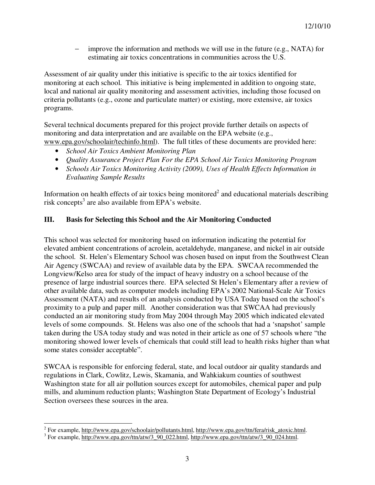improve the information and methods we will use in the future (e.g., NATA) for estimating air toxics concentrations in communities across the U.S.

Assessment of air quality under this initiative is specific to the air toxics identified for monitoring at each school. This initiative is being implemented in addition to ongoing state, local and national air quality monitoring and assessment activities, including those focused on criteria pollutants (e.g., ozone and particulate matter) or existing, more extensive, air toxics programs.

Several technical documents prepared for this project provide further details on aspects of monitoring and data interpretation and are available on the EPA website (e.g., www.epa.gov/schoolair/techinfo.html). The full titles of these documents are provided here:

- *School Air Toxics Ambient Monitoring Plan*
- *Quality Assurance Project Plan For the EPA School Air Toxics Monitoring Program*
- *Schools Air Toxics Monitoring Activity (2009), Uses of Health Effects Information in Evaluating Sample Results*

Information on health effects of air toxics being monitored<sup>2</sup> and educational materials describing risk concepts<sup>3</sup> are also available from EPA's website.

# **III. Basis for Selecting this School and the Air Monitoring Conducted**

This school was selected for monitoring based on information indicating the potential for elevated ambient concentrations of acrolein, acetaldehyde, manganese, and nickel in air outside the school. St. Helen's Elementary School was chosen based on input from the Southwest Clean Air Agency (SWCAA) and review of available data by the EPA. SWCAA recommended the Longview/Kelso area for study of the impact of heavy industry on a school because of the presence of large industrial sources there. EPA selected St Helen's Elementary after a review of other available data, such as computer models including EPA's 2002 National-Scale Air Toxics Assessment (NATA) and results of an analysis conducted by USA Today based on the school's proximity to a pulp and paper mill. Another consideration was that SWCAA had previously conducted an air monitoring study from May 2004 through May 2005 which indicated elevated levels of some compounds. St. Helens was also one of the schools that had a 'snapshot' sample taken during the USA today study and was noted in their article as one of 57 schools where "the monitoring showed lower levels of chemicals that could still lead to health risks higher than what some states consider acceptable".

SWCAA is responsible for enforcing federal, state, and local outdoor air quality standards and regulations in Clark, Cowlitz, Lewis, Skamania, and Wahkiakum counties of southwest Washington state for all air pollution sources except for automobiles, chemical paper and pulp mills, and aluminum reduction plants; Washington State Department of Ecology's Industrial Section oversees these sources in the area.

<sup>&</sup>lt;sup>2</sup> For example, http://www.epa.gov/schoolair/pollutants.html, http://www.epa.gov/ttn/fera/risk\_atoxic.html.

<sup>&</sup>lt;sup>3</sup> For example, http://www.epa.gov/ttn/atw/3\_90\_022.html, http://www.epa.gov/ttn/atw/3\_90\_024.html.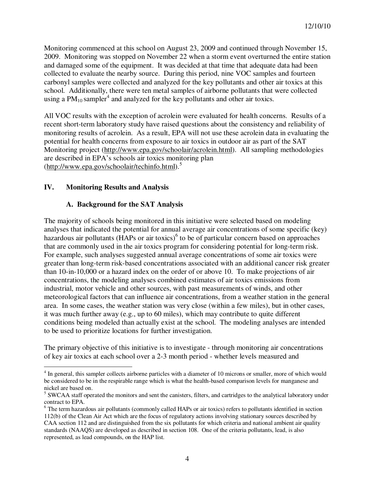Monitoring commenced at this school on August 23, 2009 and continued through November 15, 2009. Monitoring was stopped on November 22 when a storm event overturned the entire station and damaged some of the equipment. It was decided at that time that adequate data had been collected to evaluate the nearby source. During this period, nine VOC samples and fourteen carbonyl samples were collected and analyzed for the key pollutants and other air toxics at this school. Additionally, there were ten metal samples of airborne pollutants that were collected using a  $PM_{10}$  sampler<sup>4</sup> and analyzed for the key pollutants and other air toxics.

All VOC results with the exception of acrolein were evaluated for health concerns. Results of a recent short-term laboratory study have raised questions about the consistency and reliability of monitoring results of acrolein. As a result, EPA will not use these acrolein data in evaluating the potential for health concerns from exposure to air toxics in outdoor air as part of the SAT Monitoring project (http://www.epa.gov/schoolair/acrolein.html). All sampling methodologies are described in EPA's schools air toxics monitoring plan (http://www.epa.gov/schoolair/techinfo.html).<sup>5</sup>

# **IV. Monitoring Results and Analysis**

 $\overline{a}$ 

# **A. Background for the SAT Analysis**

The majority of schools being monitored in this initiative were selected based on modeling analyses that indicated the potential for annual average air concentrations of some specific (key) hazardous air pollutants (HAPs or air toxics)<sup>6</sup> to be of particular concern based on approaches that are commonly used in the air toxics program for considering potential for long-term risk. For example, such analyses suggested annual average concentrations of some air toxics were greater than long-term risk-based concentrations associated with an additional cancer risk greater than 10-in-10,000 or a hazard index on the order of or above 10. To make projections of air concentrations, the modeling analyses combined estimates of air toxics emissions from industrial, motor vehicle and other sources, with past measurements of winds, and other meteorological factors that can influence air concentrations, from a weather station in the general area. In some cases, the weather station was very close (within a few miles), but in other cases, it was much further away (e.g., up to 60 miles), which may contribute to quite different conditions being modeled than actually exist at the school. The modeling analyses are intended to be used to prioritize locations for further investigation.

The primary objective of this initiative is to investigate - through monitoring air concentrations of key air toxics at each school over a 2-3 month period - whether levels measured and

<sup>&</sup>lt;sup>4</sup> In general, this sampler collects airborne particles with a diameter of 10 microns or smaller, more of which would be considered to be in the respirable range which is what the health-based comparison levels for manganese and nickel are based on.

<sup>&</sup>lt;sup>5</sup> SWCAA staff operated the monitors and sent the canisters, filters, and cartridges to the analytical laboratory under contract to EPA.

<sup>&</sup>lt;sup>6</sup> The term hazardous air pollutants (commonly called HAPs or air toxics) refers to pollutants identified in section 112(b) of the Clean Air Act which are the focus of regulatory actions involving stationary sources described by CAA section 112 and are distinguished from the six pollutants for which criteria and national ambient air quality standards (NAAQS) are developed as described in section 108. One of the criteria pollutants, lead, is also represented, as lead compounds, on the HAP list.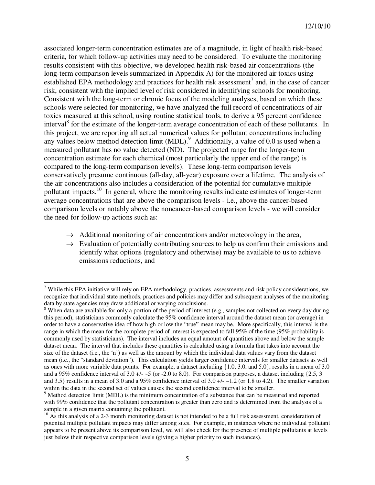associated longer-term concentration estimates are of a magnitude, in light of health risk-based criteria, for which follow-up activities may need to be considered. To evaluate the monitoring results consistent with this objective, we developed health risk-based air concentrations (the long-term comparison levels summarized in Appendix A) for the monitored air toxics using established EPA methodology and practices for health risk assessment<sup>7</sup> and, in the case of cancer risk, consistent with the implied level of risk considered in identifying schools for monitoring. Consistent with the long-term or chronic focus of the modeling analyses, based on which these schools were selected for monitoring, we have analyzed the full record of concentrations of air toxics measured at this school, using routine statistical tools, to derive a 95 percent confidence interval<sup>8</sup> for the estimate of the longer-term average concentration of each of these pollutants. In this project, we are reporting all actual numerical values for pollutant concentrations including any values below method detection limit (MDL).<sup>9</sup> Additionally, a value of 0.0 is used when a measured pollutant has no value detected (ND). The projected range for the longer-term concentration estimate for each chemical (most particularly the upper end of the range) is compared to the long-term comparison level(s). These long-term comparison levels conservatively presume continuous (all-day, all-year) exposure over a lifetime. The analysis of the air concentrations also includes a consideration of the potential for cumulative multiple pollutant impacts.<sup>10</sup> In general, where the monitoring results indicate estimates of longer-term average concentrations that are above the comparison levels - i.e., above the cancer-based comparison levels or notably above the noncancer-based comparison levels - we will consider the need for follow-up actions such as:

- $\rightarrow$  Additional monitoring of air concentrations and/or meteorology in the area,
- $\rightarrow$  Evaluation of potentially contributing sources to help us confirm their emissions and identify what options (regulatory and otherwise) may be available to us to achieve emissions reductions, and

 $\overline{a}$ 

 $7$  While this EPA initiative will rely on EPA methodology, practices, assessments and risk policy considerations, we recognize that individual state methods, practices and policies may differ and subsequent analyses of the monitoring data by state agencies may draw additional or varying conclusions.

<sup>&</sup>lt;sup>8</sup> When data are available for only a portion of the period of interest (e.g., samples not collected on every day during this period), statisticians commonly calculate the 95% confidence interval around the dataset mean (or average) in order to have a conservative idea of how high or low the "true" mean may be. More specifically, this interval is the range in which the mean for the complete period of interest is expected to fall 95% of the time (95% probability is commonly used by statisticians). The interval includes an equal amount of quantities above and below the sample dataset mean. The interval that includes these quantities is calculated using a formula that takes into account the size of the dataset (i.e., the 'n') as well as the amount by which the individual data values vary from the dataset mean (i.e., the "standard deviation"). This calculation yields larger confidence intervals for smaller datasets as well as ones with more variable data points. For example, a dataset including {1.0, 3.0, and 5.0}, results in a mean of 3.0 and a 95% confidence interval of  $3.0 +/- 5$  (or -2.0 to 8.0). For comparison purposes, a dataset including {2.5, 3} and 3.5} results in a mean of 3.0 and a 95% confidence interval of  $3.0 +/-1.2$  (or 1.8 to 4.2). The smaller variation within the data in the second set of values causes the second confidence interval to be smaller.

<sup>&</sup>lt;sup>9</sup> Method detection limit (MDL) is the minimum concentration of a substance that can be measured and reported with 99% confidence that the pollutant concentration is greater than zero and is determined from the analysis of a sample in a given matrix containing the pollutant.

<sup>&</sup>lt;sup>10</sup> As this analysis of a 2-3 month monitoring dataset is not intended to be a full risk assessment, consideration of potential multiple pollutant impacts may differ among sites. For example, in instances where no individual pollutant appears to be present above its comparison level, we will also check for the presence of multiple pollutants at levels just below their respective comparison levels (giving a higher priority to such instances).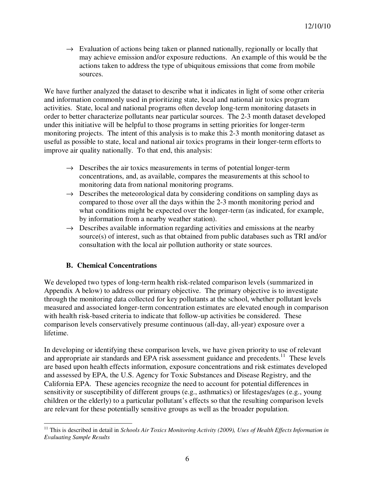$\rightarrow$  Evaluation of actions being taken or planned nationally, regionally or locally that may achieve emission and/or exposure reductions. An example of this would be the actions taken to address the type of ubiquitous emissions that come from mobile sources.

We have further analyzed the dataset to describe what it indicates in light of some other criteria and information commonly used in prioritizing state, local and national air toxics program activities. State, local and national programs often develop long-term monitoring datasets in order to better characterize pollutants near particular sources. The 2-3 month dataset developed under this initiative will be helpful to those programs in setting priorities for longer-term monitoring projects. The intent of this analysis is to make this 2-3 month monitoring dataset as useful as possible to state, local and national air toxics programs in their longer-term efforts to improve air quality nationally. To that end, this analysis:

- $\rightarrow$  Describes the air toxics measurements in terms of potential longer-term concentrations, and, as available, compares the measurements at this school to monitoring data from national monitoring programs.
- $\rightarrow$  Describes the meteorological data by considering conditions on sampling days as compared to those over all the days within the 2-3 month monitoring period and what conditions might be expected over the longer-term (as indicated, for example, by information from a nearby weather station).
- $\rightarrow$  Describes available information regarding activities and emissions at the nearby source(s) of interest, such as that obtained from public databases such as TRI and/or consultation with the local air pollution authority or state sources.

# **B. Chemical Concentrations**

We developed two types of long-term health risk-related comparison levels (summarized in Appendix A below) to address our primary objective. The primary objective is to investigate through the monitoring data collected for key pollutants at the school, whether pollutant levels measured and associated longer-term concentration estimates are elevated enough in comparison with health risk-based criteria to indicate that follow-up activities be considered. These comparison levels conservatively presume continuous (all-day, all-year) exposure over a lifetime.

In developing or identifying these comparison levels, we have given priority to use of relevant and appropriate air standards and EPA risk assessment guidance and precedents.<sup>11</sup> These levels are based upon health effects information, exposure concentrations and risk estimates developed and assessed by EPA, the U.S. Agency for Toxic Substances and Disease Registry, and the California EPA. These agencies recognize the need to account for potential differences in sensitivity or susceptibility of different groups (e.g., asthmatics) or lifestages/ages (e.g., young children or the elderly) to a particular pollutant's effects so that the resulting comparison levels are relevant for these potentially sensitive groups as well as the broader population.

 $\overline{a}$ <sup>11</sup> This is described in detail in *Schools Air Toxics Monitoring Activity (2009), Uses of Health Effects Information in Evaluating Sample Results*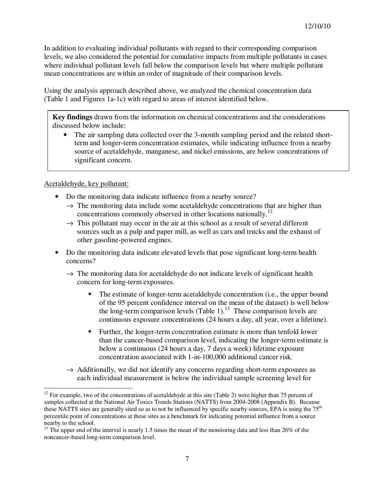In addition to evaluating individual pollutants with regard to their corresponding comparison levels, we also considered the potential for cumulative impacts from multiple pollutants in cases where individual pollutant levels fall below the comparison levels but where multiple pollutant mean concentrations are within an order of magnitude of their comparison levels.

Using the analysis approach described above, we analyzed the chemical concentration data (Table 1 and Figures 1a-1c) with regard to areas of interest identified below.

**Key findings** drawn from the information on chemical concentrations and the considerations discussed below include:

The air sampling data collected over the 3-month sampling period and the related shortterm and longer-term concentration estimates, while indicating influence from a nearby source of acetaldehyde, manganese, and nickel emissions, are below concentrations of significant concern.

Acetaldehyde, key pollutant:

- Do the monitoring data indicate influence from a nearby source?
	- $\rightarrow$  The monitoring data include some acetaldehyde concentrations that are higher than concentrations commonly observed in other locations nationally.<sup>12</sup>
	- $\rightarrow$  This pollutant may occur in the air at this school as a result of several different sources such as a pulp and paper mill, as well as cars and trucks and the exhaust of other gasoline-powered engines.
- Do the monitoring data indicate elevated levels that pose significant long-term health concerns?
	- $\rightarrow$  The monitoring data for acetaldehyde do not indicate levels of significant health concern for long-term exposures.
		- The estimate of longer-term acetaldehyde concentration (i.e., the upper bound of the 95 percent confidence interval on the mean of the dataset) is well below the long-term comparison levels (Table 1).<sup>13</sup> These comparison levels are continuous exposure concentrations (24 hours a day, all year, over a lifetime).
		- Further, the longer-term concentration estimate is more than tenfold lower than the cancer-based comparison level, indicating the longer-term estimate is below a continuous (24 hours a day, 7 days a week) lifetime exposure concentration associated with 1-in-100,000 additional cancer risk.
	- $\rightarrow$  Additionally, we did not identify any concerns regarding short-term exposures as each individual measurement is below the individual sample screening level for

 $\overline{a}$ <sup>12</sup> For example, two of the concentrations of acetaldehyde at this site (Table 2) were higher than 75 percent of samples collected at the National Air Toxics Trends Stations (NATTS) from 2004-2008 (Appendix B). Because these NATTS sites are generally sited so as to not be influenced by specific nearby sources, EPA is using the 75<sup>th</sup> percentile point of concentrations at these sites as a benchmark for indicating potential influence from a source nearby to the school.

<sup>&</sup>lt;sup>13</sup> The upper end of the interval is nearly 1.5 times the mean of the monitoring data and less than 26% of the noncancer-based long-term comparison level.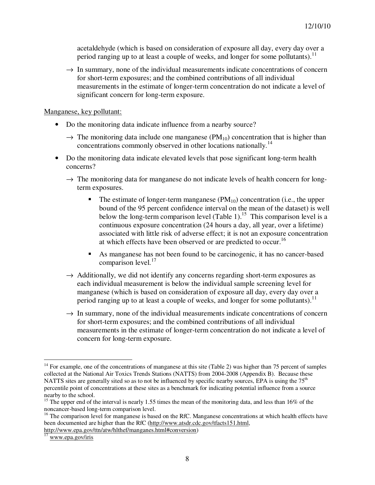acetaldehyde (which is based on consideration of exposure all day, every day over a period ranging up to at least a couple of weeks, and longer for some pollutants).<sup>11</sup>

 $\rightarrow$  In summary, none of the individual measurements indicate concentrations of concern for short-term exposures; and the combined contributions of all individual measurements in the estimate of longer-term concentration do not indicate a level of significant concern for long-term exposure.

Manganese, key pollutant:

- Do the monitoring data indicate influence from a nearby source?
	- $\rightarrow$  The monitoring data include one manganese (PM<sub>10</sub>) concentration that is higher than concentrations commonly observed in other locations nationally.<sup>14</sup>
- Do the monitoring data indicate elevated levels that pose significant long-term health concerns?
	- $\rightarrow$  The monitoring data for manganese do not indicate levels of health concern for longterm exposures.
		- The estimate of longer-term manganese  $(PM_{10})$  concentration (i.e., the upper bound of the 95 percent confidence interval on the mean of the dataset) is well below the long-term comparison level (Table 1).<sup>15</sup> This comparison level is a continuous exposure concentration (24 hours a day, all year, over a lifetime) associated with little risk of adverse effect; it is not an exposure concentration at which effects have been observed or are predicted to occur.<sup>16</sup>
		- As manganese has not been found to be carcinogenic, it has no cancer-based comparison level.<sup>17</sup>
	- $\rightarrow$  Additionally, we did not identify any concerns regarding short-term exposures as each individual measurement is below the individual sample screening level for manganese (which is based on consideration of exposure all day, every day over a period ranging up to at least a couple of weeks, and longer for some pollutants).<sup>11</sup>
	- $\rightarrow$  In summary, none of the individual measurements indicate concentrations of concern for short-term exposures; and the combined contributions of all individual measurements in the estimate of longer-term concentration do not indicate a level of concern for long-term exposure.

 $\overline{a}$ 

<sup>&</sup>lt;sup>14</sup> For example, one of the concentrations of manganese at this site (Table 2) was higher than 75 percent of samples collected at the National Air Toxics Trends Stations (NATTS) from 2004-2008 (Appendix B). Because these NATTS sites are generally sited so as to not be influenced by specific nearby sources, EPA is using the 75<sup>th</sup> percentile point of concentrations at these sites as a benchmark for indicating potential influence from a source nearby to the school.

<sup>&</sup>lt;sup>15</sup> The upper end of the interval is nearly 1.55 times the mean of the monitoring data, and less than 16% of the noncancer-based long-term comparison level.

<sup>&</sup>lt;sup>16</sup> The comparison level for manganese is based on the RfC. Manganese concentrations at which health effects have been documented are higher than the RfC (http://www.atsdr.cdc.gov/tfacts151.html, http://www.epa.gov/ttn/atw/hlthef/manganes.html#conversion)

www.epa.gov/iris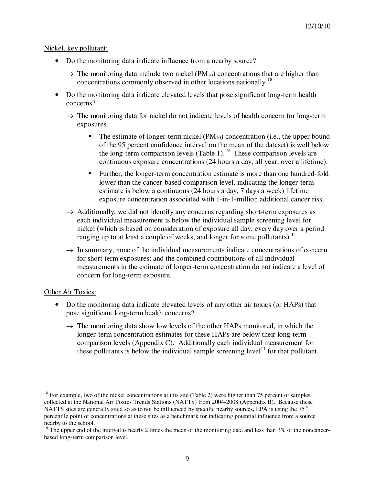#### Nickel, key pollutant:

- Do the monitoring data indicate influence from a nearby source?
	- $\rightarrow$  The monitoring data include two nickel (PM<sub>10</sub>) concentrations that are higher than concentrations commonly observed in other locations nationally.<sup>18</sup>
- Do the monitoring data indicate elevated levels that pose significant long-term health concerns?
	- $\rightarrow$  The monitoring data for nickel do not indicate levels of health concern for long-term exposures.
		- The estimate of longer-term nickel  $(PM_{10})$  concentration (i.e., the upper bound of the 95 percent confidence interval on the mean of the dataset) is well below the long-term comparison levels (Table 1).<sup>19</sup> These comparison levels are continuous exposure concentrations (24 hours a day, all year, over a lifetime).
		- Further, the longer-term concentration estimate is more than one hundred-fold lower than the cancer-based comparison level, indicating the longer-term estimate is below a continuous (24 hours a day, 7 days a week) lifetime exposure concentration associated with 1-in-1-million additional cancer risk.
	- $\rightarrow$  Additionally, we did not identify any concerns regarding short-term exposures as each individual measurement is below the individual sample screening level for nickel (which is based on consideration of exposure all day, every day over a period ranging up to at least a couple of weeks, and longer for some pollutants).<sup>11</sup>
	- $\rightarrow$  In summary, none of the individual measurements indicate concentrations of concern for short-term exposures; and the combined contributions of all individual measurements in the estimate of longer-term concentration do not indicate a level of concern for long-term exposure.

#### Other Air Toxics:

- Do the monitoring data indicate elevated levels of any other air toxics (or HAPs) that pose significant long-term health concerns?
	- $\rightarrow$  The monitoring data show low levels of the other HAPs monitored, in which the longer-term concentration estimates for these HAPs are below their long-term comparison levels (Appendix C). Additionally each individual measurement for these pollutants is below the individual sample screening level<sup>11</sup> for that pollutant.

 $\overline{a}$ <sup>18</sup> For example, two of the nickel concentrations at this site (Table 2) were higher than 75 percent of samples collected at the National Air Toxics Trends Stations (NATTS) from 2004-2008 (Appendix B). Because these NATTS sites are generally sited so as to not be influenced by specific nearby sources, EPA is using the  $75<sup>th</sup>$ percentile point of concentrations at these sites as a benchmark for indicating potential influence from a source nearby to the school.

 $19$  The upper end of the interval is nearly 2 times the mean of the monitoring data and less than  $3\%$  of the noncancerbased long-term comparison level.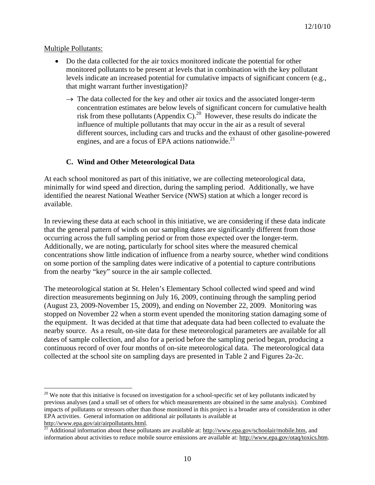### Multiple Pollutants:

 $\overline{a}$ 

- Do the data collected for the air toxics monitored indicate the potential for other monitored pollutants to be present at levels that in combination with the key pollutant levels indicate an increased potential for cumulative impacts of significant concern (e.g., that might warrant further investigation)?
	- $\rightarrow$  The data collected for the key and other air toxics and the associated longer-term concentration estimates are below levels of significant concern for cumulative health risk from these pollutants (Appendix C).<sup>20</sup> However, these results do indicate the influence of multiple pollutants that may occur in the air as a result of several different sources, including cars and trucks and the exhaust of other gasoline-powered engines, and are a focus of EPA actions nationwide. $^{21}$

# **C. Wind and Other Meteorological Data**

At each school monitored as part of this initiative, we are collecting meteorological data, minimally for wind speed and direction, during the sampling period. Additionally, we have identified the nearest National Weather Service (NWS) station at which a longer record is available.

In reviewing these data at each school in this initiative, we are considering if these data indicate that the general pattern of winds on our sampling dates are significantly different from those occurring across the full sampling period or from those expected over the longer-term. Additionally, we are noting, particularly for school sites where the measured chemical concentrations show little indication of influence from a nearby source, whether wind conditions on some portion of the sampling dates were indicative of a potential to capture contributions from the nearby "key" source in the air sample collected.

The meteorological station at St. Helen's Elementary School collected wind speed and wind direction measurements beginning on July 16, 2009, continuing through the sampling period (August 23, 2009-November 15, 2009), and ending on November 22, 2009. Monitoring was stopped on November 22 when a storm event upended the monitoring station damaging some of the equipment. It was decided at that time that adequate data had been collected to evaluate the nearby source. As a result, on-site data for these meteorological parameters are available for all dates of sample collection, and also for a period before the sampling period began, producing a continuous record of over four months of on-site meteorological data. The meteorological data collected at the school site on sampling days are presented in Table 2 and Figures 2a-2c.

 $20$  We note that this initiative is focused on investigation for a school-specific set of key pollutants indicated by previous analyses (and a small set of others for which measurements are obtained in the same analysis). Combined impacts of pollutants or stressors other than those monitored in this project is a broader area of consideration in other EPA activities. General information on additional air pollutants is available at

http://www.epa.gov/air/airpollutants.html.<br><sup>21</sup> Additional information about these pollutants are available at: <u>http://www.epa.gov/schoolair/mobile.htm</u>, and information about activities to reduce mobile source emissions are available at: http://www.epa.gov/otaq/toxics.htm.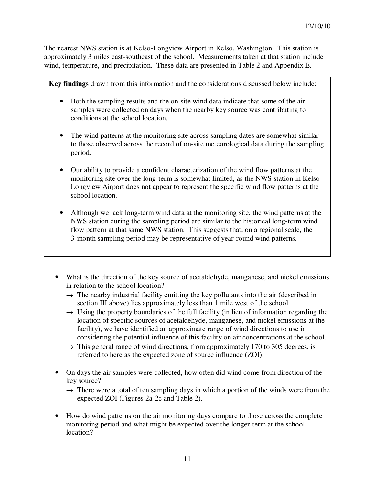The nearest NWS station is at Kelso-Longview Airport in Kelso, Washington. This station is approximately 3 miles east-southeast of the school. Measurements taken at that station include wind, temperature, and precipitation. These data are presented in Table 2 and Appendix E.

**Key findings** drawn from this information and the considerations discussed below include:

- Both the sampling results and the on-site wind data indicate that some of the air samples were collected on days when the nearby key source was contributing to conditions at the school location.
- The wind patterns at the monitoring site across sampling dates are somewhat similar to those observed across the record of on-site meteorological data during the sampling period.
- Our ability to provide a confident characterization of the wind flow patterns at the monitoring site over the long-term is somewhat limited, as the NWS station in Kelso-Longview Airport does not appear to represent the specific wind flow patterns at the school location.
- Although we lack long-term wind data at the monitoring site, the wind patterns at the NWS station during the sampling period are similar to the historical long-term wind flow pattern at that same NWS station. This suggests that, on a regional scale, the 3-month sampling period may be representative of year-round wind patterns.
- What is the direction of the key source of acetaldehyde, manganese, and nickel emissions in relation to the school location?
	- $\rightarrow$  The nearby industrial facility emitting the key pollutants into the air (described in section III above) lies approximately less than 1 mile west of the school.
	- $\rightarrow$  Using the property boundaries of the full facility (in lieu of information regarding the location of specific sources of acetaldehyde, manganese, and nickel emissions at the facility), we have identified an approximate range of wind directions to use in considering the potential influence of this facility on air concentrations at the school.
	- $\rightarrow$  This general range of wind directions, from approximately 170 to 305 degrees, is referred to here as the expected zone of source influence (ZOI).
- On days the air samples were collected, how often did wind come from direction of the key source?
	- $\rightarrow$  There were a total of ten sampling days in which a portion of the winds were from the expected ZOI (Figures 2a-2c and Table 2).
- How do wind patterns on the air monitoring days compare to those across the complete monitoring period and what might be expected over the longer-term at the school location?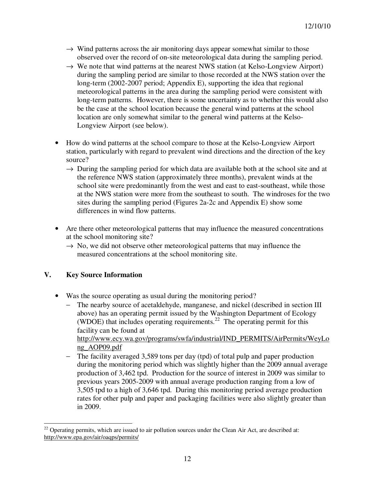- $\rightarrow$  Wind patterns across the air monitoring days appear somewhat similar to those observed over the record of on-site meteorological data during the sampling period.
- $\rightarrow$  We note that wind patterns at the nearest NWS station (at Kelso-Longview Airport) during the sampling period are similar to those recorded at the NWS station over the long-term (2002-2007 period; Appendix E), supporting the idea that regional meteorological patterns in the area during the sampling period were consistent with long-term patterns. However, there is some uncertainty as to whether this would also be the case at the school location because the general wind patterns at the school location are only somewhat similar to the general wind patterns at the Kelso-Longview Airport (see below).
- How do wind patterns at the school compare to those at the Kelso-Longview Airport station, particularly with regard to prevalent wind directions and the direction of the key source?
	- $\rightarrow$  During the sampling period for which data are available both at the school site and at the reference NWS station (approximately three months), prevalent winds at the school site were predominantly from the west and east to east-southeast, while those at the NWS station were more from the southeast to south. The windroses for the two sites during the sampling period (Figures 2a-2c and Appendix E) show some differences in wind flow patterns.
- Are there other meteorological patterns that may influence the measured concentrations at the school monitoring site?
	- $\rightarrow$  No, we did not observe other meteorological patterns that may influence the measured concentrations at the school monitoring site.

# **V. Key Source Information**

- Was the source operating as usual during the monitoring period?
	- The nearby source of acetaldehyde, manganese, and nickel (described in section III above) has an operating permit issued by the Washington Department of Ecology (WDOE) that includes operating requirements.<sup>22</sup> The operating permit for this facility can be found at

http://www.ecy.wa.gov/programs/swfa/industrial/IND\_PERMITS/AirPermits/WeyLo ng\_AOP09.pdf

The facility averaged 3,589 tons per day (tpd) of total pulp and paper production during the monitoring period which was slightly higher than the 2009 annual average production of 3,462 tpd. Production for the source of interest in 2009 was similar to previous years 2005-2009 with annual average production ranging from a low of 3,505 tpd to a high of 3,646 tpd. During this monitoring period average production rates for other pulp and paper and packaging facilities were also slightly greater than in 2009.

 $\overline{a}$  $22$  Operating permits, which are issued to air pollution sources under the Clean Air Act, are described at: http://www.epa.gov/air/oaqps/permits/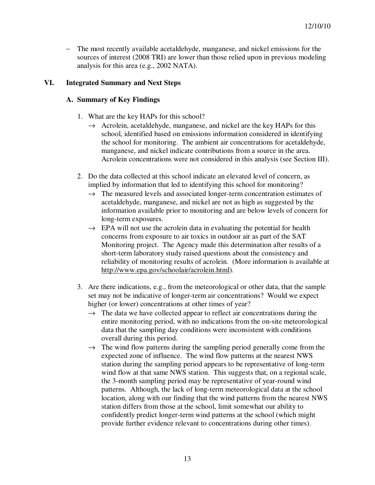− The most recently available acetaldehyde, manganese, and nickel emissions for the sources of interest (2008 TRI) are lower than those relied upon in previous modeling analysis for this area (e.g., 2002 NATA).

# **VI. Integrated Summary and Next Steps**

# **A. Summary of Key Findings**

- 1. What are the key HAPs for this school?
	- $\rightarrow$  Acrolein, acetaldehyde, manganese, and nickel are the key HAPs for this school, identified based on emissions information considered in identifying the school for monitoring. The ambient air concentrations for acetaldehyde, manganese, and nickel indicate contributions from a source in the area. Acrolein concentrations were not considered in this analysis (see Section III).
- 2. Do the data collected at this school indicate an elevated level of concern, as implied by information that led to identifying this school for monitoring?
	- $\rightarrow$  The measured levels and associated longer-term concentration estimates of acetaldehyde, manganese, and nickel are not as high as suggested by the information available prior to monitoring and are below levels of concern for long-term exposures.
	- $\rightarrow$  EPA will not use the acrolein data in evaluating the potential for health concerns from exposure to air toxics in outdoor air as part of the SAT Monitoring project. The Agency made this determination after results of a short-term laboratory study raised questions about the consistency and reliability of monitoring results of acrolein. (More information is available at http://www.epa.gov/schoolair/acrolein.html).
- 3. Are there indications, e.g., from the meteorological or other data, that the sample set may not be indicative of longer-term air concentrations? Would we expect higher (or lower) concentrations at other times of year?
	- $\rightarrow$  The data we have collected appear to reflect air concentrations during the entire monitoring period, with no indications from the on-site meteorological data that the sampling day conditions were inconsistent with conditions overall during this period.
	- $\rightarrow$  The wind flow patterns during the sampling period generally come from the expected zone of influence. The wind flow patterns at the nearest NWS station during the sampling period appears to be representative of long-term wind flow at that same NWS station. This suggests that, on a regional scale, the 3-month sampling period may be representative of year-round wind patterns. Although, the lack of long-term meteorological data at the school location, along with our finding that the wind patterns from the nearest NWS station differs from those at the school, limit somewhat our ability to confidently predict longer-term wind patterns at the school (which might provide further evidence relevant to concentrations during other times).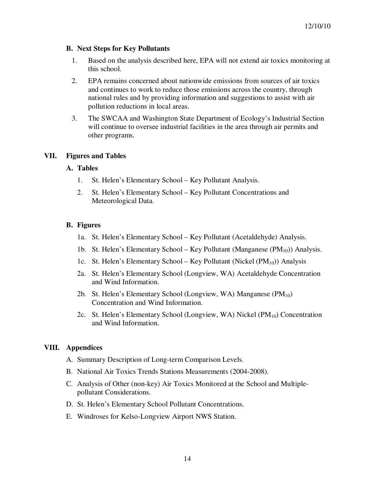### **B. Next Steps for Key Pollutants**

- 1. Based on the analysis described here, EPA will not extend air toxics monitoring at this school.
- 2. EPA remains concerned about nationwide emissions from sources of air toxics and continues to work to reduce those emissions across the country, through national rules and by providing information and suggestions to assist with air pollution reductions in local areas.
- 3. The SWCAA and Washington State Department of Ecology's Industrial Section will continue to oversee industrial facilities in the area through air permits and other programs.

#### **VII. Figures and Tables**

#### **A. Tables**

- 1. St. Helen's Elementary School Key Pollutant Analysis.
- 2. St. Helen's Elementary School Key Pollutant Concentrations and Meteorological Data.

### **B. Figures**

- 1a. St. Helen's Elementary School Key Pollutant (Acetaldehyde) Analysis.
- 1b. St. Helen's Elementary School Key Pollutant (Manganese  $(PM_{10})$ ) Analysis.
- 1c. St. Helen's Elementary School Key Pollutant (Nickel  $(PM_{10})$ ) Analysis
- 2a. St. Helen's Elementary School (Longview, WA) Acetaldehyde Concentration and Wind Information.
- 2b. St. Helen's Elementary School (Longview, WA) Manganese  $(PM_{10})$ Concentration and Wind Information.
- 2c. St. Helen's Elementary School (Longview, WA) Nickel  $(PM_{10})$  Concentration and Wind Information.

# **VIII. Appendices**

- A. Summary Description of Long-term Comparison Levels.
- B. National Air Toxics Trends Stations Measurements (2004-2008).
- C. Analysis of Other (non-key) Air Toxics Monitored at the School and Multiplepollutant Considerations.
- D. St. Helen's Elementary School Pollutant Concentrations.
- E. Windroses for Kelso-Longview Airport NWS Station.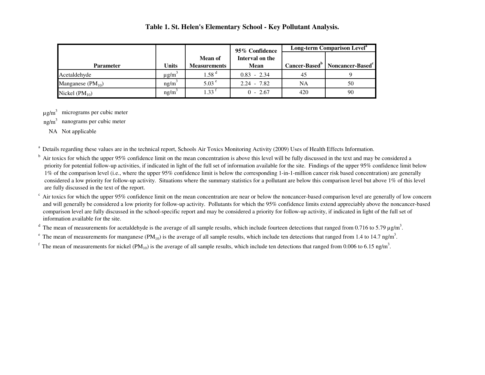#### **Table 1. St. Helen's Elementary School - Key Pollutant Analysis.**

|                       |                        |                     | 95% Confidence  | Long-term Comparison Level <sup>a</sup> |                                                          |  |  |  |  |
|-----------------------|------------------------|---------------------|-----------------|-----------------------------------------|----------------------------------------------------------|--|--|--|--|
|                       |                        | <b>Mean of</b>      | Interval on the |                                         |                                                          |  |  |  |  |
| <b>Parameter</b>      | <b>Units</b>           | <b>Measurements</b> | <b>Mean</b>     |                                         | Cancer-Based <sup>b</sup>   Noncancer-Based <sup>c</sup> |  |  |  |  |
| Acetaldehyde          | $\mu$ g/m <sup>3</sup> | 1.58 <sup>d</sup>   | $0.83 - 2.34$   | 45                                      |                                                          |  |  |  |  |
| Manganese $(PM_{10})$ | $ng/m^3$               | 5.03 <sup>e</sup>   | $2.24 - 7.82$   | NA                                      | 50                                                       |  |  |  |  |
| Nickel $(PM_{10})$    | ng/m <sup>3</sup>      | $1.33^{\mathrm{T}}$ | $0 - 2.67$      | 420                                     | 90                                                       |  |  |  |  |

 $\mu$ g/m<sup>3</sup> micrograms per cubic meter

 $ng/m<sup>3</sup>$  nanograms per cubic meter

NA Not applicable

<sup>a</sup> Details regarding these values are in the technical report, Schools Air Toxics Monitoring Activity (2009) Uses of Health Effects Information.

 $<sup>b</sup>$  Air toxics for which the upper 95% confidence limit on the mean concentration is above this level will be fully discussed in the text and may be considered a</sup> priority for potential follow-up activities, if indicated in light of the full set of information available for the site. Findings of the upper 95% confidence limit below 1% of the comparison level (i.e., where the upper 95% confidence limit is below the corresponding 1-in-1-million cancer risk based concentration) are generally considered a low priority for follow-up activity. Situations where the summary statistics for a pollutant are below this comparison level but above 1% of this levelare fully discussed in the text of the report.

Air toxics for which the upper 95% confidence limit on the mean concentration are near or below the noncancer-based comparison level are generally of low concern and will generally be considered a low priority for follow-up activity. Pollutants for which the 95% confidence limits extend appreciably above the noncancer-based comparison level are fully discussed in the school-specific report and may be considered a priority for follow-up activity, if indicated in light of the full set ofinformation available for the site.

<sup>d</sup> The mean of measurements for acetaldehyde is the average of all sample results, which include fourteen detections that ranged from 0.716 to 5.79 µg/m<sup>3</sup>.

<sup>e</sup> The mean of measurements for manganese (PM<sub>10</sub>) is the average of all sample results, which include ten detections that ranged from 1.4 to 14.7 ng/m<sup>3</sup>.

<sup>f</sup> The mean of measurements for nickel (PM<sub>10</sub>) is the average of all sample results, which include ten detections that ranged from 0.006 to 6.15 ng/m<sup>3</sup>.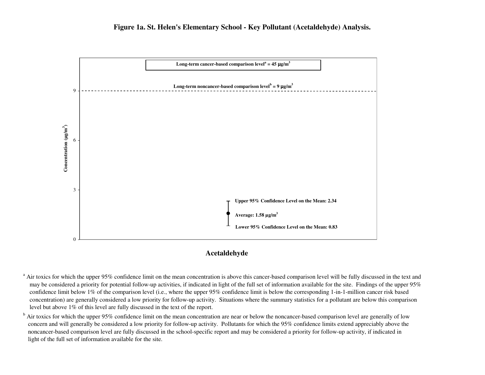



#### **Acetaldehyde**

<sup>a</sup> Air toxics for which the upper 95% confidence limit on the mean concentration is above this cancer-based comparison level will be fully discussed in the text and may be considered a priority for potential follow-up activities, if indicated in light of the full set of information available for the site. Findings of the upper 95% confidence limit below 1% of the comparison level (i.e., where the upper 95% confidence limit is below the corresponding 1-in-1-million cancer risk based concentration) are generally considered a low priority for follow-up activity. Situations where the summary statistics for a pollutant are below this comparison level but above 1% of this level are fully discussed in the text of the report.

<sup>b</sup> Air toxics for which the upper 95% confidence limit on the mean concentration are near or below the noncancer-based comparison level are generally of low concern and will generally be considered a low priority for follow-up activity. Pollutants for which the 95% confidence limits extend appreciably above the noncancer-based comparison level are fully discussed in the school-specific report and may be considered a priority for follow-up activity, if indicated inlight of the full set of information available for the site.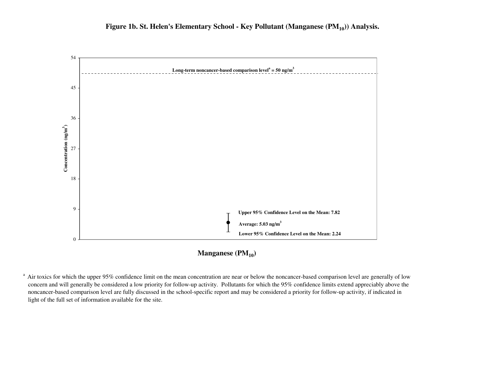

**Manganese (PM10)**

 $^{\text{a}}$  Air toxics for which the upper 95% confidence limit on the mean concentration are near or below the noncancer-based comparison level are generally of low concern and will generally be considered a low priority for follow-up activity. Pollutants for which the 95% confidence limits extend appreciably above the noncancer-based comparison level are fully discussed in the school-specific report and may be considered a priority for follow-up activity, if indicated inlight of the full set of information available for the site.

0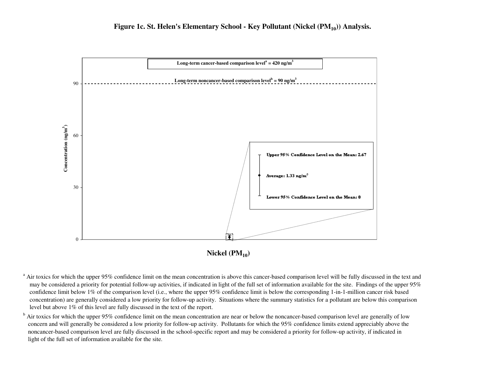





<sup>a</sup> Air toxics for which the upper 95% confidence limit on the mean concentration is above this cancer-based comparison level will be fully discussed in the text and may be considered a priority for potential follow-up activities, if indicated in light of the full set of information available for the site. Findings of the upper 95% confidence limit below 1% of the comparison level (i.e., where the upper 95% confidence limit is below the corresponding 1-in-1-million cancer risk based concentration) are generally considered a low priority for follow-up activity. Situations where the summary statistics for a pollutant are below this comparison level but above 1% of this level are fully discussed in the text of the report.

<sup>b</sup> Air toxics for which the upper 95% confidence limit on the mean concentration are near or below the noncancer-based comparison level are generally of low concern and will generally be considered a low priority for follow-up activity. Pollutants for which the 95% confidence limits extend appreciably above the noncancer-based comparison level are fully discussed in the school-specific report and may be considered a priority for follow-up activity, if indicated inlight of the full set of information available for the site.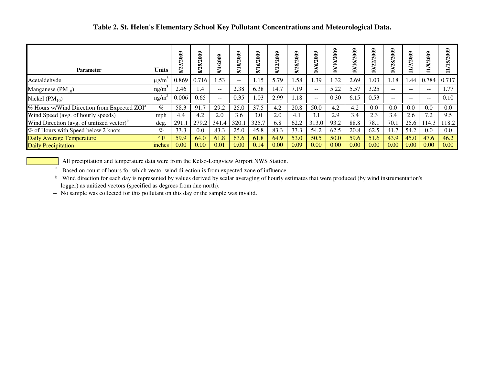| <b>Parameter</b>                                        | <b>Units</b> | ຣຶ    | 2009<br>$\sim$<br>$\mathbf{\Omega}$ | <b>2009</b> | 3<br>ี | 2009<br>ত<br>$\bullet$ | <b>2009</b><br>ন<br>N | දූ<br>$\mathbf{\Omega}$ | 2009<br>$\sqrt{9/0}$ | 10/2009<br>`€ | ິ<br>$\tilde{5}$<br>ଢ<br>è | 2009<br>ন<br>$\mathbf{N}$<br>≧ | 28/2009<br>≧ | <b>2009</b><br>గో | $\frac{2}{3}$<br>$\mathbf{\Omega}$ | Š<br>$\mathbf \Omega$ |
|---------------------------------------------------------|--------------|-------|-------------------------------------|-------------|--------|------------------------|-----------------------|-------------------------|----------------------|---------------|----------------------------|--------------------------------|--------------|-------------------|------------------------------------|-----------------------|
| Acetaldehyde                                            | $\mu$ g/m    | 0.869 | 0.716                               | .53         | $- -$  | .15                    | 5.79                  | .58                     | .39                  | .32           | 2.69                       | 1.03                           | 1.18         | .44               | 0.784                              | 0.717                 |
| Manganese $(PM_{10})$                                   | ng/m         | 2.46  | 1.4                                 | $- -$       | 2.38   | 6.38                   | 14.7                  | 7.19                    | $\qquad \qquad -$    | 5.22          | 5.57                       | 3.25                           | $- -$        | $- -$             | $- -$                              | 1.77                  |
| Nickel $(PM_{10})$                                      | ng/m         | 0.006 | 0.65                                | $- -$       | 0.35   | .03                    | 2.99                  | 1.18                    | $- -$                | 0.30          | 6.15                       | 0.53                           | $- -$        | $- -$             | $- -$                              | 0.10                  |
| % Hours w/Wind Direction from Expected ZOI <sup>a</sup> | $\%$         | 58.3  | 91.7                                | 29.2        | 25.0   | 37.5                   | 4.2                   | 20.8                    | 50.0                 | 4.2           | 4.2                        | 0.0                            | 0.0          | 0.0               | 0.0                                | $0.0\,$               |
| Wind Speed (avg. of hourly speeds)                      | mph          | 4.4   | 4.2                                 | 2.0         | 3.6    | 3.0                    | 2.0                   | 4.1                     | 3.1                  | 2.9           | 3.4                        | 2.3                            | 3.4          | 2.6               | 7.2                                | 9.5                   |
| Wind Direction (avg. of unitized vector) <sup>b</sup>   | deg.         | 291.  | 279.2                               | 341.4       | 320.1  | 325.7                  | 6.8                   | 62.2                    | 313.0                | 93.2          | 88.8                       | 78.1                           | 70.1         | 25.6              | 114.3                              | 118.2                 |
| % of Hours with Speed below 2 knots                     | $\%$         | 33.3  | 0.0                                 | 83.3        | 25.0   | 45.8                   | 83.3                  | 33.3                    | 54.2                 | 62.5          | 20.8                       | 62.5                           | 41.7         | 54.2              | 0.0                                | 0.0                   |
| Daily Average Temperature                               | $\circ$ F    | 59.9  | 64.0                                | 61.8        | 63.6   | 61.8                   | 64.9                  | 53.0                    | 50.5                 | 50.0          | 59.6                       | 51.6                           | 43.9         | 45.0              | 47.6                               | 46.2                  |
| <b>Daily Precipitation</b>                              | inches       | 0.00  | 0.00                                | 0.01        | 0.00   | 0.14                   | 0.00                  | 0.09                    | 0.00                 | 0.00          | 0.00                       | 0.00                           | 0.00         | 0.00              | 0.00                               | 0.00                  |

All precipitation and temperature data were from the Kelso-Longview Airport NWS Station.

 $a<sup>a</sup>$  Based on count of hours for which vector wind direction is from expected zone of influence.

<sup>b</sup> Wind direction for each day is represented by values derived by scalar averaging of hourly estimates that were produced (by wind instrumentation's logger) as unitized vectors (specified as degrees from due north).

-- No sample was collected for this pollutant on this day or the sample was invalid.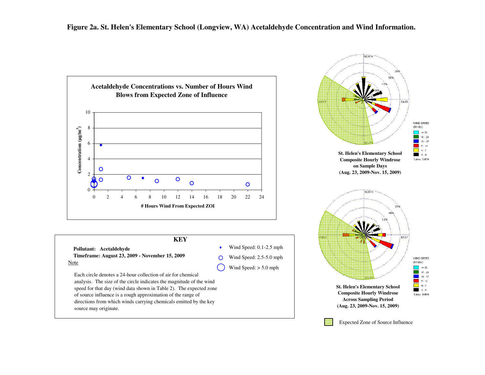



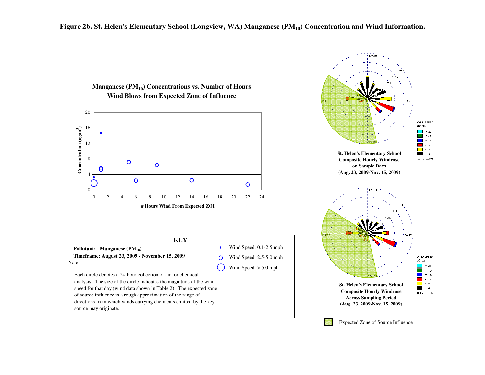



source may originate.

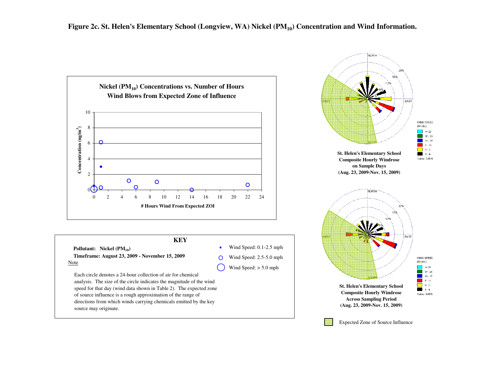

Each circle denotes a 24-hour collection of air for chemical analysis. The size of the circle indicates the magnitude of the wind speed for that day (wind data shown in Table 2). The expected zone of source influence is a rough approximation of the range of directions from which winds carrying chemicals emitted by the key source may originate.

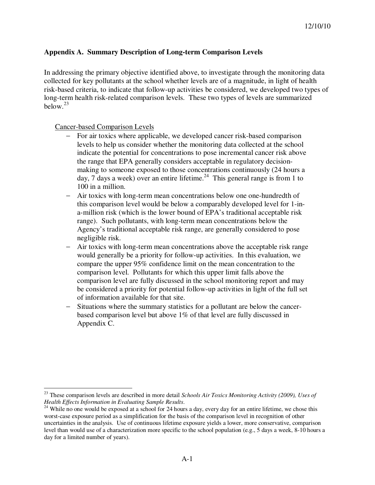# **Appendix A. Summary Description of Long-term Comparison Levels**

In addressing the primary objective identified above, to investigate through the monitoring data collected for key pollutants at the school whether levels are of a magnitude, in light of health risk-based criteria, to indicate that follow-up activities be considered, we developed two types of long-term health risk-related comparison levels. These two types of levels are summarized below. $^{23}$ 

Cancer-based Comparison Levels

 $\overline{a}$ 

- − For air toxics where applicable, we developed cancer risk-based comparison levels to help us consider whether the monitoring data collected at the school indicate the potential for concentrations to pose incremental cancer risk above the range that EPA generally considers acceptable in regulatory decisionmaking to someone exposed to those concentrations continuously (24 hours a day, 7 days a week) over an entire lifetime.<sup>24</sup> This general range is from 1 to 100 in a million.
- − Air toxics with long-term mean concentrations below one one-hundredth of this comparison level would be below a comparably developed level for 1-ina-million risk (which is the lower bound of EPA's traditional acceptable risk range). Such pollutants, with long-term mean concentrations below the Agency's traditional acceptable risk range, are generally considered to pose negligible risk.
- − Air toxics with long-term mean concentrations above the acceptable risk range would generally be a priority for follow-up activities. In this evaluation, we compare the upper 95% confidence limit on the mean concentration to the comparison level. Pollutants for which this upper limit falls above the comparison level are fully discussed in the school monitoring report and may be considered a priority for potential follow-up activities in light of the full set of information available for that site.
- − Situations where the summary statistics for a pollutant are below the cancerbased comparison level but above 1% of that level are fully discussed in Appendix C.

<sup>23</sup> These comparison levels are described in more detail *Schools Air Toxics Monitoring Activity (2009), Uses of Health Effects Information in Evaluating Sample Results*.

<sup>&</sup>lt;sup>24</sup> While no one would be exposed at a school for 24 hours a day, every day for an entire lifetime, we chose this worst-case exposure period as a simplification for the basis of the comparison level in recognition of other uncertainties in the analysis. Use of continuous lifetime exposure yields a lower, more conservative, comparison level than would use of a characterization more specific to the school population (e.g., 5 days a week, 8-10 hours a day for a limited number of years).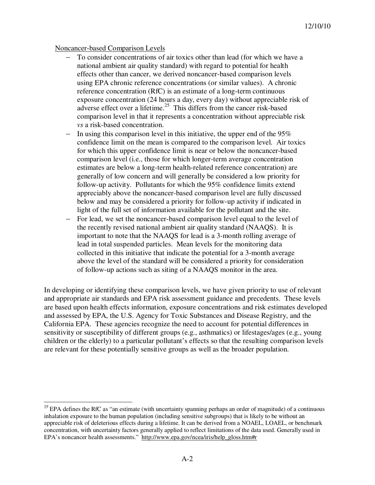#### Noncancer-based Comparison Levels

- To consider concentrations of air toxics other than lead (for which we have a national ambient air quality standard) with regard to potential for health effects other than cancer, we derived noncancer-based comparison levels using EPA chronic reference concentrations (or similar values). A chronic reference concentration (RfC) is an estimate of a long-term continuous exposure concentration (24 hours a day, every day) without appreciable risk of adverse effect over a lifetime.<sup>25</sup> This differs from the cancer risk-based comparison level in that it represents a concentration without appreciable risk *vs* a risk-based concentration.
- − In using this comparison level in this initiative, the upper end of the 95% confidence limit on the mean is compared to the comparison level. Air toxics for which this upper confidence limit is near or below the noncancer-based comparison level (i.e., those for which longer-term average concentration estimates are below a long-term health-related reference concentration) are generally of low concern and will generally be considered a low priority for follow-up activity. Pollutants for which the 95% confidence limits extend appreciably above the noncancer-based comparison level are fully discussed below and may be considered a priority for follow-up activity if indicated in light of the full set of information available for the pollutant and the site.
- For lead, we set the noncancer-based comparison level equal to the level of the recently revised national ambient air quality standard (NAAQS). It is important to note that the NAAQS for lead is a 3-month rolling average of lead in total suspended particles. Mean levels for the monitoring data collected in this initiative that indicate the potential for a 3-month average above the level of the standard will be considered a priority for consideration of follow-up actions such as siting of a NAAQS monitor in the area.

In developing or identifying these comparison levels, we have given priority to use of relevant and appropriate air standards and EPA risk assessment guidance and precedents. These levels are based upon health effects information, exposure concentrations and risk estimates developed and assessed by EPA, the U.S. Agency for Toxic Substances and Disease Registry, and the California EPA. These agencies recognize the need to account for potential differences in sensitivity or susceptibility of different groups (e.g., asthmatics) or lifestages/ages (e.g., young children or the elderly) to a particular pollutant's effects so that the resulting comparison levels are relevant for these potentially sensitive groups as well as the broader population.

<sup>&</sup>lt;sup>25</sup> EPA defines the RfC as "an estimate (with uncertainty spanning perhaps an order of magnitude) of a continuous inhalation exposure to the human population (including sensitive subgroups) that is likely to be without an appreciable risk of deleterious effects during a lifetime. It can be derived from a NOAEL, LOAEL, or benchmark concentration, with uncertainty factors generally applied to reflect limitations of the data used. Generally used in EPA's noncancer health assessments." http://www.epa.gov/ncea/iris/help\_gloss.htm#r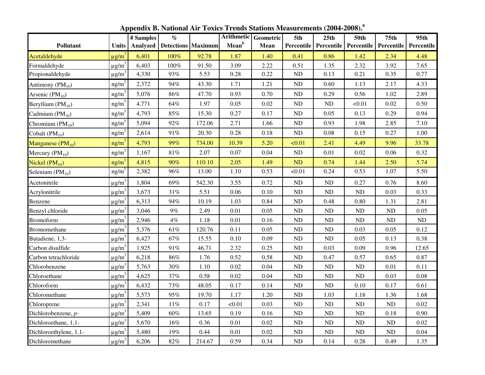|                        |                        | # Samples | $\%$                                   |        | Arithmetic Geometric |          | 5th            | 25th        | <b>50th</b>             | 75 <sub>th</sub>  | 95th       |
|------------------------|------------------------|-----------|----------------------------------------|--------|----------------------|----------|----------------|-------------|-------------------------|-------------------|------------|
| Pollutant              | <b>Units</b>           |           | <b>Analyzed</b>   Detections   Maximum |        | Mean <sup>b</sup>    | Mean     | Percentile     |             | Percentile   Percentile | <b>Percentile</b> | Percentile |
| Acetaldehyde           | $\mu$ g/m <sup>3</sup> | 6,401     | 100%                                   | 92.78  | 1.87                 | 1.40     | 0.41           | 0.86        | 1.42                    | 2.34              | 4.48       |
| Formaldehyde           | $\mu$ g/m <sup>3</sup> | 6,403     | 100%                                   | 91.50  | 3.09                 | 2.22     | 0.51           | 1.35        | 2.32                    | 3.92              | 7.65       |
| Propionaldehyde        | $\mu$ g/m <sup>3</sup> | 4,330     | 93%                                    | 5.53   | 0.28                 | 0.22     | ND             | 0.13        | 0.21                    | 0.35              | 0.77       |
| Antimony $(PM_{10})$   | ng/m <sup>3</sup>      | 2,372     | 94%                                    | 43.30  | 1.71                 | 1.21     | ND             | 0.60        | 1.13                    | 2.17              | 4.33       |
| Arsenic $(PM_{10})$    | ng/m <sup>3</sup>      | 5,076     | 86%                                    | 47.70  | 0.93                 | 0.70     | <b>ND</b>      | 0.29        | 0.56                    | 1.02              | 2.89       |
| Beryllium $(PM_{10})$  | ng/m <sup>3</sup>      | 4,771     | 64%                                    | 1.97   | 0.05                 | 0.02     | ND             | $\rm ND$    | < 0.01                  | 0.02              | 0.50       |
| Cadmium $(PM_{10})$    | ng/m <sup>3</sup>      | 4,793     | 85%                                    | 15.30  | 0.27                 | 0.17     | ND             | 0.05        | 0.13                    | 0.29              | 0.94       |
| Chromium $(PM_{10})$   | ng/m <sup>3</sup>      | 5,094     | $92\%$                                 | 172.06 | 2.71                 | 1.66     | $\rm ND$       | 0.93        | 1.98                    | 2.85              | 7.10       |
| Cobalt $(PM_{10})$     | ng/m <sup>3</sup>      | 2,614     | 91%                                    | 20.30  | 0.28                 | 0.18     | ND             | 0.08        | 0.15                    | 0.27              | 1.00       |
| Manganese $(PM_{10})$  | ng/m <sup>3</sup>      | 4,793     | 99%                                    | 734.00 | 10.39                | 5.20     | < 0.01         | 2.41        | 4.49                    | 9.96              | 33.78      |
| Mercury $(PM_{10})$    | ng/m <sup>3</sup>      | 1,167     | $81\%$                                 | 2.07   | 0.07                 | 0.04     | $\rm ND$       | 0.01        | 0.02                    | 0.06              | 0.32       |
| Nickel $(PM_{10})$     | ng/m <sup>3</sup>      | 4,815     | 90%                                    | 110.10 | 2.05                 | 1.49     | ND             | 0.74        | 1.44                    | 2.50              | 5.74       |
| Selenium $(PM_{10})$   | ng/m <sup>3</sup>      | 2,382     | 96%                                    | 13.00  | 1.10                 | 0.53     | < 0.01         | 0.24        | 0.53                    | 1.07              | 5.50       |
| Acetonitrile           | $\mu$ g/m <sup>3</sup> | 1,804     | 69%                                    | 542.30 | 3.55                 | 0.72     | ND             | ND          | 0.27                    | 0.76              | 8.60       |
| Acrylonitrile          | $\mu$ g/m <sup>3</sup> | 3,673     | $31\%$                                 | 5.51   | 0.06                 | $0.10\,$ | N <sub>D</sub> | $\rm ND$    | ND                      | 0.03              | 0.33       |
| Benzene                | $\mu$ g/m <sup>3</sup> | 6,313     | 94%                                    | 10.19  | 1.03                 | 0.84     | ND             | 0.48        | 0.80                    | 1.31              | 2.81       |
| Benzyl chloride        | $\mu$ g/m <sup>3</sup> | 3,046     | $9\%$                                  | 2.49   | 0.01                 | 0.05     | ND             | $\mbox{ND}$ | <b>ND</b>               | ${\rm ND}$        | 0.05       |
| <b>Bromoform</b>       | $\mu$ g/m <sup>3</sup> | 2,946     | $4\%$                                  | 1.18   | 0.01                 | $0.16\,$ | $\rm ND$       | $\rm ND$    | <b>ND</b>               | $\rm ND$          | ND         |
| Bromomethane           | $\mu$ g/m <sup>3</sup> | 5,376     | 61%                                    | 120.76 | 0.11                 | 0.05     | N <sub>D</sub> | $\rm ND$    | 0.03                    | 0.05              | 0.12       |
| Butadiene, 1,3-        | $\mu$ g/m <sup>3</sup> | 6,427     | 67%                                    | 15.55  | 0.10                 | 0.09     | ND             | $\rm ND$    | 0.05                    | 0.13              | 0.38       |
| Carbon disulfide       | $\mu$ g/m <sup>3</sup> | 1,925     | $91\%$                                 | 46.71  | 2.32                 | 0.25     | ND             | 0.03        | 0.09                    | 0.96              | 12.65      |
| Carbon tetrachloride   | $\mu$ g/m <sup>3</sup> | 6,218     | $86\%$                                 | 1.76   | 0.52                 | 0.58     | $\rm ND$       | 0.47        | 0.57                    | 0.65              | 0.87       |
| Chlorobenzene          | $\mu$ g/m <sup>3</sup> | 5,763     | 30%                                    | 1.10   | 0.02                 | 0.04     | ND             | $\rm ND$    | ND                      | 0.01              | $0.11\,$   |
| Chloroethane           | $\mu$ g/m <sup>3</sup> | 4,625     | 37%                                    | 0.58   | 0.02                 | 0.04     | <b>ND</b>      | ND          | <b>ND</b>               | 0.03              | 0.08       |
| Chloroform             | $\mu$ g/m <sup>3</sup> | 6,432     | 73%                                    | 48.05  | 0.17                 | 0.14     | N <sub>D</sub> | $\rm ND$    | 0.10                    | 0.17              | 0.61       |
| Chloromethane          | $\mu$ g/m <sup>3</sup> | 5,573     | 95%                                    | 19.70  | 1.17                 | 1.20     | ND             | 1.03        | 1.18                    | 1.36              | 1.68       |
| Chloroprene            | $\mu$ g/m <sup>3</sup> | 2,341     | $11\%$                                 | 0.17   | < 0.01               | 0.03     | ND             | $\rm ND$    | ND                      | $\rm ND$          | 0.02       |
| Dichlorobenzene, p-    | $\mu$ g/m <sup>3</sup> | 5,409     | 60%                                    | 13.65  | 0.19                 | 0.16     | <b>ND</b>      | ND          | ND                      | 0.18              | 0.90       |
| Dichloroethane, 1,1-   | $\mu$ g/m <sup>3</sup> | 5,670     | 16%                                    | 0.36   | 0.01                 | 0.02     | ND             | ND          | <b>ND</b>               | $\rm ND$          | 0.02       |
| Dichloroethylene, 1,1- | $\mu$ g/m <sup>3</sup> | 5,480     | 19%                                    | 0.44   | 0.01                 | 0.02     | $\rm ND$       | $\rm ND$    | <b>ND</b>               | ND                | 0.04       |
| Dichloromethane        | $\mu$ g/m <sup>3</sup> | 6,206     | 82%                                    | 214.67 | 0.59                 | 0.34     | $\rm ND$       | 0.14        | 0.28                    | 0.49              | 1.35       |

**Appendix B. National Air Toxics Trends Stations Measurements (2004-2008). a**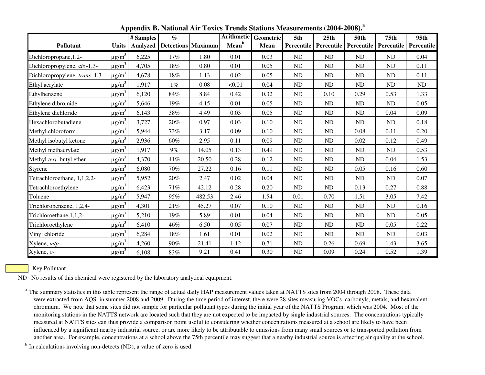|                                 |                        | # Samples       | $\%$                      |        |                   | Arithmetic Geometric | 5th        | 25th       | <b>50th</b> | 75 <sub>th</sub>  | 95th       |
|---------------------------------|------------------------|-----------------|---------------------------|--------|-------------------|----------------------|------------|------------|-------------|-------------------|------------|
| Pollutant                       | <b>Units</b>           | <b>Analyzed</b> | <b>Detections Maximum</b> |        | Mean <sup>b</sup> | Mean                 | Percentile | Percentile | Percentile  | <b>Percentile</b> | Percentile |
| Dichloropropane, 1,2-           | $\mu$ g/m <sup>3</sup> | 6,225           | 17%                       | 1.80   | 0.01              | 0.03                 | ND         | ND         | ND          | ND                | 0.04       |
| Dichloropropylene, cis-1,3-     | $\mu$ g/m <sup>3</sup> | 4,705           | 18%                       | 0.80   | 0.01              | 0.05                 | ND         | ND         | <b>ND</b>   | ND                | 0.11       |
| Dichloropropylene, trans-1,3-   | $\mu$ g/m <sup>3</sup> | 4,678           | 18%                       | 1.13   | 0.02              | 0.05                 | ND         | ND         | <b>ND</b>   | ND                | 0.11       |
| Ethyl acrylate                  | $\mu$ g/m <sup>3</sup> | 1,917           | $1\%$                     | 0.08   | < 0.01            | 0.04                 | ND         | ND         | <b>ND</b>   | ND                | ND         |
| Ethylbenzene                    | $\mu$ g/m <sup>3</sup> | 6,120           | 84%                       | 8.84   | 0.42              | 0.32                 | ND         | 0.10       | 0.29        | 0.53              | 1.33       |
| Ethylene dibromide              | $\mu$ g/m <sup>3</sup> | 5,646           | 19%                       | 4.15   | 0.01              | 0.05                 | ND         | ND         | ND          | ND                | 0.05       |
| Ethylene dichloride             | $\mu$ g/m <sup>3</sup> | 6,143           | 38%                       | 4.49   | 0.03              | 0.05                 | ND         | ND         | ND          | 0.04              | 0.09       |
| Hexachlorobutadiene             | $\mu$ g/m <sup>3</sup> | 3,727           | 20%                       | 0.97   | 0.03              | 0.10                 | ND         | ND         | ND          | ND                | 0.18       |
| Methyl chloroform               | $\mu$ g/m <sup>3</sup> | 5,944           | 73%                       | 3.17   | 0.09              | 0.10                 | ND         | ND         | 0.08        | 0.11              | 0.20       |
| Methyl isobutyl ketone          | $\mu$ g/m <sup>3</sup> | 2,936           | 60%                       | 2.95   | 0.11              | 0.09                 | ND         | ND         | 0.02        | 0.12              | 0.49       |
| Methyl methacrylate             | $\mu$ g/m <sup>3</sup> | 1,917           | $9\%$                     | 14.05  | 0.13              | 0.49                 | ND         | ND         | <b>ND</b>   | ND                | 0.53       |
| Methyl <i>tert</i> -butyl ether | $\mu$ g/m <sup>3</sup> | 4,370           | 41%                       | 20.50  | 0.28              | 0.12                 | ND         | ND         | ND          | 0.04              | 1.53       |
| Styrene                         | $\mu$ g/m <sup>3</sup> | 6,080           | 70%                       | 27.22  | 0.16              | 0.11                 | ND         | ND         | 0.05        | 0.16              | 0.60       |
| Tetrachloroethane, 1,1,2,2-     | $\mu$ g/m <sup>3</sup> | 5,952           | 20%                       | 2.47   | 0.02              | 0.04                 | ND         | ND         | ND          | ND                | 0.07       |
| Tetrachloroethylene             | $\mu$ g/m <sup>3</sup> | 6,423           | 71%                       | 42.12  | 0.28              | 0.20                 | ND         | ND         | 0.13        | 0.27              | 0.88       |
| Toluene                         | $\mu$ g/m <sup>3</sup> | 5,947           | 95%                       | 482.53 | 2.46              | 1.54                 | 0.01       | 0.70       | 1.51        | 3.05              | 7.42       |
| Trichlorobenzene, 1,2,4-        | $\mu$ g/m <sup>3</sup> | 4,301           | 21%                       | 45.27  | 0.07              | 0.10                 | ND         | ND         | <b>ND</b>   | ND                | 0.16       |
| Trichloroethane, 1, 1, 2-       | $\mu$ g/m <sup>3</sup> | 5,210           | 19%                       | 5.89   | 0.01              | 0.04                 | ND         | ND         | <b>ND</b>   | ND                | 0.05       |
| Trichloroethylene               | $\mu$ g/m <sup>3</sup> | 6,410           | 46%                       | 6.50   | 0.05              | 0.07                 | ND         | ND         | ND          | 0.05              | 0.22       |
| Vinyl chloride                  | $\mu$ g/m <sup>3</sup> | 6,284           | 18%                       | 1.61   | 0.01              | 0.02                 | ND         | ND         | ND          | ND                | 0.03       |
| Xylene, m/p-                    | $\mu$ g/m <sup>3</sup> | 4,260           | 90%                       | 21.41  | 1.12              | 0.71                 | ND         | 0.26       | 0.69        | 1.43              | 3.65       |
| Xylene, $o$ -                   | $\mu$ g/m <sup>3</sup> | 6,108           | 83%                       | 9.21   | 0.41              | 0.30                 | ND         | 0.09       | 0.24        | 0.52              | 1.39       |

**Appendix B. National Air Toxics Trends Stations Measurements (2004-2008).a**

Key Pollutant

ND No results of this chemical were registered by the laboratory analytical equipment.

<sup>a</sup> The summary statistics in this table represent the range of actual daily HAP measurement values taken at NATTS sites from 2004 through 2008. These data were extracted from AQS in summer 2008 and 2009. During the time period of interest, there were 28 sites measuring VOCs, carbonyls, metals, and hexavalent chromium. We note that some sites did not sample for particular pollutant types during the initial year of the NATTS Program, which was 2004. Most of the monitoring stations in the NATTS network are located such that they are not expected to be impacted by single industrial sources. The concentrations typically measured at NATTS sites can thus provide a comparison point useful to considering whether concentrations measured at a school are likely to have been influenced by a significant nearby industrial source, or are more likely to be attributable to emissions from many small sources or to transported pollution fromanother area. For example, concentrations at a school above the 75th percentile may suggest that a nearby industrial source is affecting air quality at the school.

<sup>b</sup> In calculations involving non-detects (ND), a value of zero is used.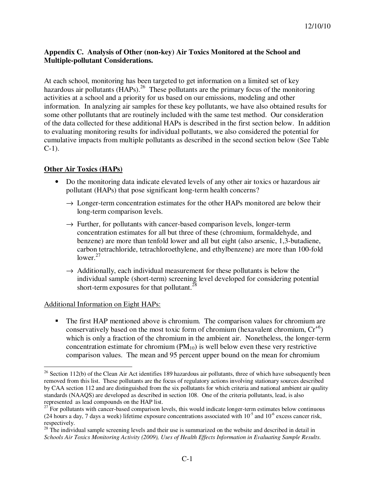## **Appendix C. Analysis of Other (non-key) Air Toxics Monitored at the School and Multiple-pollutant Considerations.**

At each school, monitoring has been targeted to get information on a limited set of key hazardous air pollutants ( $\overline{HAPs}$ ).<sup>26</sup> These pollutants are the primary focus of the monitoring activities at a school and a priority for us based on our emissions, modeling and other information. In analyzing air samples for these key pollutants, we have also obtained results for some other pollutants that are routinely included with the same test method. Our consideration of the data collected for these additional HAPs is described in the first section below. In addition to evaluating monitoring results for individual pollutants, we also considered the potential for cumulative impacts from multiple pollutants as described in the second section below (See Table C-1).

# **Other Air Toxics (HAPs)**

- Do the monitoring data indicate elevated levels of any other air toxics or hazardous air pollutant (HAPs) that pose significant long-term health concerns?
	- $\rightarrow$  Longer-term concentration estimates for the other HAPs monitored are below their long-term comparison levels.
	- $\rightarrow$  Further, for pollutants with cancer-based comparison levels, longer-term concentration estimates for all but three of these (chromium, formaldehyde, and benzene) are more than tenfold lower and all but eight (also arsenic, 1,3-butadiene, carbon tetrachloride, tetrachloroethylene, and ethylbenzene) are more than 100-fold lower. $27$
	- $\rightarrow$  Additionally, each individual measurement for these pollutants is below the individual sample (short-term) screening level developed for considering potential short-term exposures for that pollutant.<sup>28</sup>

# Additional Information on Eight HAPs:

 $\overline{a}$ 

 The first HAP mentioned above is chromium. The comparison values for chromium are conservatively based on the most toxic form of chromium (hexavalent chromium,  $Cr^{+6}$ ) which is only a fraction of the chromium in the ambient air. Nonetheless, the longer-term concentration estimate for chromium  $(PM_{10})$  is well below even these very restrictive comparison values. The mean and 95 percent upper bound on the mean for chromium

 $26$  Section 112(b) of the Clean Air Act identifies 189 hazardous air pollutants, three of which have subsequently been removed from this list. These pollutants are the focus of regulatory actions involving stationary sources described by CAA section 112 and are distinguished from the six pollutants for which criteria and national ambient air quality standards (NAAQS) are developed as described in section 108. One of the criteria pollutants, lead, is also represented as lead compounds on the HAP list.

 $27$  For pollutants with cancer-based comparison levels, this would indicate longer-term estimates below continuous (24 hours a day, 7 days a week) lifetime exposure concentrations associated with  $10^{-5}$  and  $10^{-6}$  excess cancer risk, respectively.

<sup>&</sup>lt;sup>28</sup> The individual sample screening levels and their use is summarized on the website and described in detail in *Schools Air Toxics Monitoring Activity (2009), Uses of Health Effects Information in Evaluating Sample Results*.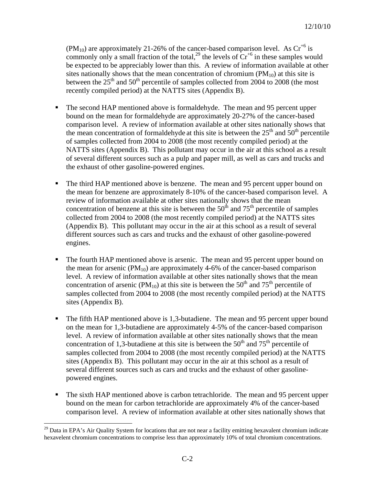(PM<sub>10</sub>) are approximately 21-26% of the cancer-based comparison level. As  $Cr^{+6}$  is commonly only a small fraction of the total,<sup>29</sup> the levels of  $Cr^{+6}$  in these samples would be expected to be appreciably lower than this. A review of information available at other sites nationally shows that the mean concentration of chromium  $(PM_{10})$  at this site is between the  $25<sup>th</sup>$  and  $50<sup>th</sup>$  percentile of samples collected from 2004 to 2008 (the most recently compiled period) at the NATTS sites (Appendix B).

- The second HAP mentioned above is formaldehyde. The mean and 95 percent upper bound on the mean for formaldehyde are approximately 20-27% of the cancer-based comparison level. A review of information available at other sites nationally shows that the mean concentration of formaldehyde at this site is between the  $25<sup>th</sup>$  and  $50<sup>th</sup>$  percentile of samples collected from 2004 to 2008 (the most recently compiled period) at the NATTS sites (Appendix B). This pollutant may occur in the air at this school as a result of several different sources such as a pulp and paper mill, as well as cars and trucks and the exhaust of other gasoline-powered engines.
- The third HAP mentioned above is benzene. The mean and 95 percent upper bound on the mean for benzene are approximately 8-10% of the cancer-based comparison level. A review of information available at other sites nationally shows that the mean concentration of benzene at this site is between the  $50<sup>th</sup>$  and  $75<sup>th</sup>$  percentile of samples collected from 2004 to 2008 (the most recently compiled period) at the NATTS sites (Appendix B). This pollutant may occur in the air at this school as a result of several different sources such as cars and trucks and the exhaust of other gasoline-powered engines.
- The fourth HAP mentioned above is arsenic. The mean and 95 percent upper bound on the mean for arsenic  $(PM_{10})$  are approximately 4-6% of the cancer-based comparison level. A review of information available at other sites nationally shows that the mean concentration of arsenic ( $PM_{10}$ ) at this site is between the 50<sup>th</sup> and 75<sup>th</sup> percentile of samples collected from 2004 to 2008 (the most recently compiled period) at the NATTS sites (Appendix B).
- The fifth HAP mentioned above is 1,3-butadiene. The mean and 95 percent upper bound on the mean for 1,3-butadiene are approximately 4-5% of the cancer-based comparison level. A review of information available at other sites nationally shows that the mean concentration of 1,3-butadiene at this site is between the  $50<sup>th</sup>$  and  $75<sup>th</sup>$  percentile of samples collected from 2004 to 2008 (the most recently compiled period) at the NATTS sites (Appendix B). This pollutant may occur in the air at this school as a result of several different sources such as cars and trucks and the exhaust of other gasolinepowered engines.
- The sixth HAP mentioned above is carbon tetrachloride. The mean and 95 percent upper bound on the mean for carbon tetrachloride are approximately 4% of the cancer-based comparison level. A review of information available at other sites nationally shows that

 $\overline{a}$ 

 $29$  Data in EPA's Air Quality System for locations that are not near a facility emitting hexavalent chromium indicate hexavelent chromium concentrations to comprise less than approximately 10% of total chromium concentrations.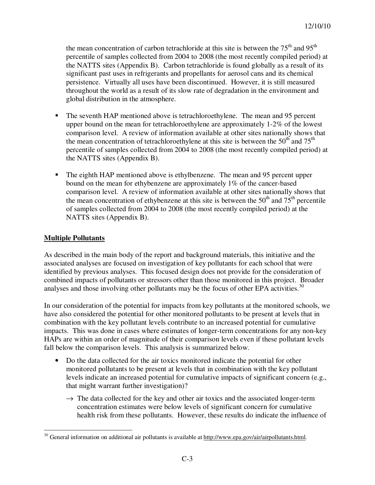the mean concentration of carbon tetrachloride at this site is between the  $75<sup>th</sup>$  and  $95<sup>th</sup>$ percentile of samples collected from 2004 to 2008 (the most recently compiled period) at the NATTS sites (Appendix B). Carbon tetrachloride is found globally as a result of its significant past uses in refrigerants and propellants for aerosol cans and its chemical persistence. Virtually all uses have been discontinued. However, it is still measured throughout the world as a result of its slow rate of degradation in the environment and global distribution in the atmosphere.

- The seventh HAP mentioned above is tetrachloroethylene. The mean and 95 percent upper bound on the mean for tetrachloroethylene are approximately 1-2% of the lowest comparison level. A review of information available at other sites nationally shows that the mean concentration of tetrachloroethylene at this site is between the  $50<sup>th</sup>$  and  $75<sup>th</sup>$ percentile of samples collected from 2004 to 2008 (the most recently compiled period) at the NATTS sites (Appendix B).
- The eighth HAP mentioned above is ethylbenzene. The mean and 95 percent upper bound on the mean for ethybenzene are approximately 1% of the cancer-based comparison level. A review of information available at other sites nationally shows that the mean concentration of ethybenzene at this site is between the  $50<sup>th</sup>$  and  $75<sup>th</sup>$  percentile of samples collected from 2004 to 2008 (the most recently compiled period) at the NATTS sites (Appendix B).

### **Multiple Pollutants**

As described in the main body of the report and background materials, this initiative and the associated analyses are focused on investigation of key pollutants for each school that were identified by previous analyses. This focused design does not provide for the consideration of combined impacts of pollutants or stressors other than those monitored in this project. Broader analyses and those involving other pollutants may be the focus of other EPA activities.<sup>30</sup>

In our consideration of the potential for impacts from key pollutants at the monitored schools, we have also considered the potential for other monitored pollutants to be present at levels that in combination with the key pollutant levels contribute to an increased potential for cumulative impacts. This was done in cases where estimates of longer-term concentrations for any non-key HAPs are within an order of magnitude of their comparison levels even if these pollutant levels fall below the comparison levels. This analysis is summarized below.

- Do the data collected for the air toxics monitored indicate the potential for other monitored pollutants to be present at levels that in combination with the key pollutant levels indicate an increased potential for cumulative impacts of significant concern (e.g., that might warrant further investigation)?
	- $\rightarrow$  The data collected for the key and other air toxics and the associated longer-term concentration estimates were below levels of significant concern for cumulative health risk from these pollutants. However, these results do indicate the influence of

 $\overline{a}$ <sup>30</sup> General information on additional air pollutants is available at http://www.epa.gov/air/airpollutants.html.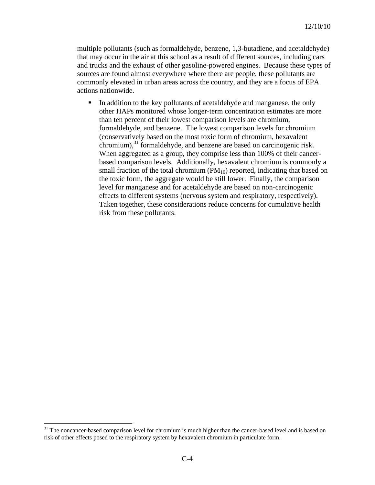multiple pollutants (such as formaldehyde, benzene, 1,3-butadiene, and acetaldehyde) that may occur in the air at this school as a result of different sources, including cars and trucks and the exhaust of other gasoline-powered engines. Because these types of sources are found almost everywhere where there are people, these pollutants are commonly elevated in urban areas across the country, and they are a focus of EPA actions nationwide.

 In addition to the key pollutants of acetaldehyde and manganese, the only other HAPs monitored whose longer-term concentration estimates are more than ten percent of their lowest comparison levels are chromium, formaldehyde, and benzene. The lowest comparison levels for chromium (conservatively based on the most toxic form of chromium, hexavalent  $\alpha$ chromium), $^{31}$  formaldehyde, and benzene are based on carcinogenic risk. When aggregated as a group, they comprise less than 100% of their cancerbased comparison levels. Additionally, hexavalent chromium is commonly a small fraction of the total chromium  $(PM_{10})$  reported, indicating that based on the toxic form, the aggregate would be still lower. Finally, the comparison level for manganese and for acetaldehyde are based on non-carcinogenic effects to different systems (nervous system and respiratory, respectively). Taken together, these considerations reduce concerns for cumulative health risk from these pollutants.

 $\overline{a}$ 

<sup>&</sup>lt;sup>31</sup> The noncancer-based comparison level for chromium is much higher than the cancer-based level and is based on risk of other effects posed to the respiratory system by hexavalent chromium in particulate form.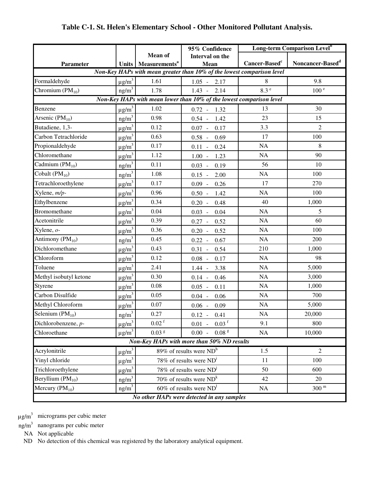# **Table C-1. St. Helen's Elementary School - Other Monitored Pollutant Analysis.**

|                        |                        |                                   | 95% Confidence                                                         |                           | <b>Long-term Comparison Level</b> <sup>b</sup> |  |  |
|------------------------|------------------------|-----------------------------------|------------------------------------------------------------------------|---------------------------|------------------------------------------------|--|--|
|                        |                        | <b>Mean of</b>                    | Interval on the                                                        |                           |                                                |  |  |
| Parameter              |                        | Units   Measurements <sup>a</sup> | Mean                                                                   | Cancer-Based <sup>c</sup> | Noncancer-Based <sup>d</sup>                   |  |  |
|                        |                        |                                   | Non-Key HAPs with mean greater than 10% of the lowest comparison level |                           |                                                |  |  |
| Formaldehyde           | $\mu$ g/m <sup>3</sup> | 1.61                              | 2.17<br>$1.05 -$                                                       | 8                         | 9.8                                            |  |  |
| Chromium $(PM_{10})$   | ng/m <sup>3</sup>      | 1.78                              | $1.43 -$<br>2.14                                                       | 8.3e                      | 100 <sup>e</sup>                               |  |  |
|                        |                        |                                   | Non-Key HAPs with mean lower than 10% of the lowest comparison level   |                           |                                                |  |  |
| Benzene                | $\mu$ g/m <sup>3</sup> | 1.02                              | $0.72 - 1.32$                                                          | 13                        | 30                                             |  |  |
| Arsenic $(PM_{10})$    | ng/m <sup>3</sup>      | 0.98                              | $0.54 -$<br>1.42                                                       | 23                        | 15                                             |  |  |
| Butadiene, 1,3-        | $\mu$ g/m <sup>3</sup> | 0.12                              | $0.07 -$<br>0.17                                                       | 3.3                       | $\overline{2}$                                 |  |  |
| Carbon Tetrachloride   | $\mu$ g/m <sup>3</sup> | 0.63                              | $0.58 -$<br>0.69                                                       | 17                        | 100                                            |  |  |
| Propionaldehyde        | $\mu$ g/m <sup>3</sup> | 0.17                              | 0.24<br>$0.11 -$                                                       | NA                        | 8                                              |  |  |
| Chloromethane          | $\mu$ g/m <sup>3</sup> | 1.12                              | 1.23<br>$1.00 -$                                                       | NA                        | 90                                             |  |  |
| Cadmium $(PM_{10})$    | ng/m <sup>3</sup>      | 0.11                              | $0.03 -$<br>0.19                                                       | 56                        | 10                                             |  |  |
| Cobalt $(PM_{10})$     | $ng/m^3$               | 1.08                              | $0.15 -$<br>2.00                                                       | $\rm NA$                  | 100                                            |  |  |
| Tetrachloroethylene    | $\mu$ g/m <sup>3</sup> | 0.17                              | $0.09 -$<br>0.26                                                       | 17                        | 270                                            |  |  |
| Xylene, m/p-           | $\mu$ g/m <sup>3</sup> | 0.96                              | $0.50 -$<br>1.42                                                       | NA                        | 100                                            |  |  |
| Ethylbenzene           | $\mu$ g/m <sup>3</sup> | 0.34                              | $0.20 -$<br>0.48                                                       | 40                        | 1,000                                          |  |  |
| <b>Bromomethane</b>    | $\mu$ g/m <sup>3</sup> | 0.04                              | $0.03 -$<br>0.04                                                       | <b>NA</b>                 | 5                                              |  |  |
| Acetonitrile           | $\mu$ g/m <sup>3</sup> | 0.39                              | $0.27 -$<br>0.52                                                       | <b>NA</b>                 | 60                                             |  |  |
| Xylene, o-             | $\mu$ g/m <sup>3</sup> | 0.36                              | $0.20 -$<br>0.52                                                       | NA                        | 100                                            |  |  |
| Antimony $(PM_{10})$   | $ng/m^3$               | 0.45                              | 0.67<br>$0.22 -$                                                       | NA                        | 200                                            |  |  |
| Dichloromethane        | $\mu$ g/m <sup>3</sup> | 0.43                              | $0.31 -$<br>0.54                                                       | 210                       | 1,000                                          |  |  |
| Chloroform             | $\mu$ g/m <sup>3</sup> | 0.12                              | $0.08 -$<br>0.17                                                       | <b>NA</b>                 | 98                                             |  |  |
| Toluene                | $\mu$ g/m <sup>3</sup> | 2.41                              | 3.38<br>$1.44 -$                                                       | NA                        | 5,000                                          |  |  |
| Methyl isobutyl ketone | $\mu$ g/m <sup>3</sup> | 0.30                              | 0.46<br>$0.14 -$                                                       | NA                        | 3,000                                          |  |  |
| Styrene                | $\mu$ g/m <sup>3</sup> | 0.08                              | $0.05 -$<br>0.11                                                       | NA                        | 1,000                                          |  |  |
| Carbon Disulfide       | $\mu$ g/m <sup>3</sup> | 0.05                              | 0.06<br>$0.04 -$                                                       | NA                        | 700                                            |  |  |
| Methyl Chloroform      | $\mu$ g/m <sup>3</sup> | 0.07                              | $0.06 - 0.09$                                                          | NA                        | 5,000                                          |  |  |
| Selenium $(PM_{10})$   | ng/m <sup>3</sup>      | 0.27                              | $0.12 - 0.41$                                                          | NA                        | 20,000                                         |  |  |
| Dichlorobenzene, p-    | $\mu$ g/m <sup>3</sup> | $0.02 \frac{1}{r}$                | $0.03$ <sup>f</sup><br>$0.01 -$                                        | 9.1                       | 800                                            |  |  |
| Chloroethane           | $\mu$ g/m <sup>3</sup> | $0.03$ <sup>g</sup>               | 0.08 <sup>g</sup><br>$0.00\,$                                          | NA                        | 10,000                                         |  |  |
|                        |                        |                                   | Non-Key HAPs with more than 50% ND results                             |                           |                                                |  |  |
| Acrylonitrile          | $\mu$ g/m <sup>3</sup> |                                   | 89% of results were $NDh$                                              | 1.5                       | $\overline{2}$                                 |  |  |
| Vinyl chloride         | $\mu$ g/m <sup>3</sup> |                                   | 78% of results were $NDi$                                              | 11                        | 100                                            |  |  |
| Trichloroethylene      | $\mu$ g/m <sup>3</sup> |                                   | 78% of results were $ND^1$                                             | 50                        | 600                                            |  |  |
| Beryllium $(PM_{10})$  | ng/m <sup>3</sup>      |                                   | 70% of results were $ND^k$                                             | 42                        | 20                                             |  |  |
| Mercury $(PM_{10})$    | ng/m <sup>3</sup>      |                                   | 60% of results were $ND1$                                              | NA                        | 300 <sup>m</sup>                               |  |  |
|                        |                        |                                   | No other HAPs were detected in any samples                             |                           |                                                |  |  |

 $\mu$ g/m<sup>3</sup> micrograms per cubic meter

 $ng/m<sup>3</sup>$  nanograms per cubic meter

NA Not applicable

ND No detection of this chemical was registered by the laboratory analytical equipment.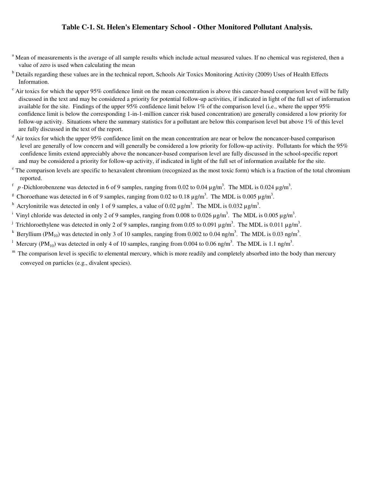#### **Table C-1. St. Helen's Elementary School - Other Monitored Pollutant Analysis.**

- <sup>a</sup> Mean of measurements is the average of all sample results which include actual measured values. If no chemical was registered, then a value of zero is used when calculating the mean
- <sup>b</sup> Details regarding these values are in the technical report, Schools Air Toxics Monitoring Activity (2009) Uses of Health Effects Information.
- $\epsilon$  Air toxics for which the upper 95% confidence limit on the mean concentration is above this cancer-based comparison level will be fully discussed in the text and may be considered a priority for potential follow-up activities, if indicated in light of the full set of information available for the site. Findings of the upper  $95\%$  confidence limit below  $1\%$  of the comparison level (i.e., where the upper  $95\%$  confidence limit is below the corresponding 1-in-1-million cancer risk based concentration) are generally considered a low priority for follow-up activity. Situations where the summary statistics for a pollutant are below this comparison level but above 1% of this level are fully discussed in the text of the report.
- <sup>d</sup> Air toxics for which the upper 95% confidence limit on the mean concentration are near or below the noncancer-based comparison level are generally of low concern and will generally be considered a low priority for follow-up activity. Pollutants for which the 95% confidence limits extend appreciably above the noncancer-based comparison level are fully discussed in the school-specific report and may be considered a priority for follow-up activity, if indicated in light of the full set of information available for the site.
- <sup>e</sup> The comparison levels are specific to hexavalent chromium (recognized as the most toxic form) which is a fraction of the total chromium reported.
- <sup>f</sup> p-Dichlorobenzene was detected in 6 of 9 samples, ranging from 0.02 to 0.04  $\mu$ g/m<sup>3</sup>. The MDL is 0.024  $\mu$ g/m<sup>3</sup>.
- <sup>g</sup> Choroethane was detected in 6 of 9 samples, ranging from 0.02 to 0.18  $\mu$ g/m<sup>3</sup>. The MDL is 0.005  $\mu$ g/m<sup>3</sup>.
- <sup>h</sup> Acrylonitrile was detected in only 1 of 9 samples, a value of 0.02  $\mu$ g/m<sup>3</sup>. The MDL is 0.032  $\mu$ g/m<sup>3</sup>.
- <sup>i</sup> Vinyl chloride was detected in only 2 of 9 samples, ranging from 0.008 to 0.026  $\mu$ g/m<sup>3</sup>. The MDL is 0.005  $\mu$ g/m<sup>3</sup>.
- <sup>j</sup> Trichloroethylene was detected in only 2 of 9 samples, ranging from 0.05 to 0.091  $\mu$ g/m<sup>3</sup>. The MDL is 0.011  $\mu$ g/m<sup>3</sup>.
- <sup>k</sup> Beryllium (PM<sub>10</sub>) was detected in only 3 of 10 samples, ranging from 0.002 to 0.04 ng/m<sup>3</sup>. The MDL is 0.03 ng/m<sup>3</sup>.
- <sup>1</sup> Mercury (PM<sub>10</sub>) was detected in only 4 of 10 samples, ranging from 0.004 to 0.06 ng/m<sup>3</sup>. The MDL is 1.1 ng/m<sup>3</sup>.
- $<sup>m</sup>$  The comparison level is specific to elemental mercury, which is more readily and completely absorbed into the body than mercury</sup> conveyed on particles (e.g., divalent species).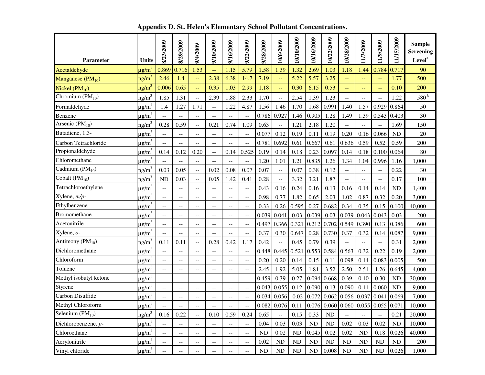| <b>Parameter</b>       | <b>Units</b>           | 8/23/2009                                     | 8/29/2009                | 9/4/2009                                                | 9/10/2009                   | 9/16/2009                                     | 9/22/2009                                     | 9/28/2009 | 10/6/2009                | 10/10/2009 | 10/16/2009                                                               | 10/22/2009         | 10/28/2009                                    | 11/3/2009                | 11/9/2009      | 11/15/2009 | <b>Sample</b><br><b>Screening</b><br><b>Level</b> <sup>a</sup> |
|------------------------|------------------------|-----------------------------------------------|--------------------------|---------------------------------------------------------|-----------------------------|-----------------------------------------------|-----------------------------------------------|-----------|--------------------------|------------|--------------------------------------------------------------------------|--------------------|-----------------------------------------------|--------------------------|----------------|------------|----------------------------------------------------------------|
| Acetaldehyde           | $\mu$ g/m <sup>3</sup> | 0.869                                         | 0.716                    | 1.53                                                    | $\rightarrow$               | 1.15                                          | 5.79                                          | 1.58      | 1.39                     | 1.32       | 2.69                                                                     | 1.03               | 1.18                                          | 1.44                     | 0.784          | 0.717      | 90                                                             |
| Manganese $(PM_{10})$  | $ng/m^2$               | 2.46                                          | 1.4                      | μ.                                                      | 2.38                        | 6.38                                          | 14.7                                          | 7.19      | $\perp$                  | 5.22       | 5.57                                                                     | 3.25               | цц                                            | 44                       | 44             | 1.77       | 500                                                            |
| Nickel $(PM_{10})$     | ng/m <sup>3</sup>      | 0.006                                         | 0.65                     | μL,                                                     | 0.35                        | 1.03                                          | 2.99                                          | 1.18      | $\perp$                  | 0.30       | 6.15                                                                     | 0.53               | 44                                            | $-$                      |                | 0.10       | 200                                                            |
| Chromium $(PM_{10})$   | ng/m <sup>3</sup>      | 1.85                                          | 1.31                     | $\overline{a}$                                          | 2.39                        | 1.88                                          | 2.33                                          | 1.70      | $\overline{a}$           | 2.54       | 1.39                                                                     | 1.23               | $\overline{a}$                                | $\overline{a}$           | $-$            | 1.22       | $580$ $^{\rm b}$                                               |
| Formaldehyde           | $\mu$ g/m <sup>3</sup> | 1.4                                           | 1.27                     | 1.71                                                    | $\sim$ $-$                  | 1.22                                          | 4.87                                          | 1.56      | 1.46                     | 1.70       | 1.68                                                                     | 0.991              | 1.40                                          | 1.57                     | 0.929          | 0.864      | 50                                                             |
| Benzene                | $\mu$ g/m <sup>3</sup> |                                               | --                       | $\overline{\phantom{a}}$                                | $\overline{a}$              | $\overline{a}$                                |                                               | 0.786     | 0.927                    | 1.46       | 0.905                                                                    | 1.28               | 1.49                                          | 1.39                     | 0.543          | 0.403      | 30                                                             |
| Arsenic $(PM_{10})$    | ng/m <sup>3</sup>      | 0.28                                          | 0.59                     | $\overline{\phantom{a}}$                                | 0.21                        | 0.74                                          | 1.09                                          | 0.63      | $\overline{\phantom{a}}$ | 1.21       | 2.18                                                                     | 1.20               | $\overline{a}$                                | $\overline{a}$           | $\overline{a}$ | 1.69       | 150                                                            |
| Butadiene, 1,3-        | $\mu$ g/m <sup>3</sup> |                                               | $\overline{\phantom{a}}$ | $\overline{\phantom{a}}$                                | $\overline{a}$              | $\overline{a}$                                |                                               | 0.077     | 0.12                     | 0.19       | 0.11                                                                     | 0.19               | 0.20                                          | 0.16                     | 0.066          | <b>ND</b>  | 20                                                             |
| Carbon Tetrachloride   | $\mu$ g/m <sup>3</sup> |                                               | $\overline{\phantom{a}}$ | $\overline{\phantom{a}}$                                | $-$                         | --                                            |                                               | 0.781     | 0.692                    | 0.61       | 0.667                                                                    | 0.61               | 0.636                                         | 0.59                     | 0.52           | 0.59       | 200                                                            |
| Propionaldehyde        | $\mu$ g/m <sup>3</sup> | 0.14                                          | 0.12                     | 0.20                                                    | $-$                         | 0.14                                          | 0.525                                         | 0.19      | 0.14                     | 0.18       | 0.23                                                                     | 0.097              | 0.14                                          | 0.18                     | 0.100          | 0.064      | 80                                                             |
| Chloromethane          | $\mu$ g/m <sup>3</sup> | $\overline{a}$                                | --                       | $-$                                                     | $-$                         | $-$                                           | $\overline{a}$                                | 1.20      | 1.01                     | 1.21       | 0.835                                                                    | 1.26               | 1.34                                          | 1.04                     | 0.996          | 1.16       | 1,000                                                          |
| Cadmium $(PM_{10})$    | ng/m <sup>3</sup>      | 0.03                                          | 0.05                     | $\overline{\phantom{a}}$                                | 0.02                        | 0.08                                          | 0.07                                          | 0.07      | $\overline{\phantom{a}}$ | 0.07       | 0.38                                                                     | 0.12               | $\mathord{\hspace{1pt}\text{--}\hspace{1pt}}$ | $\overline{a}$           | $\overline{a}$ | 0.22       | 30                                                             |
| Cobalt $(PM_{10})$     | $ng/m^3$               | <b>ND</b>                                     | 0.03                     | $\overline{\phantom{a}}$                                | 0.05                        | 1.42                                          | 0.41                                          | 0.28      | $\overline{\phantom{a}}$ | 3.32       | 3.21                                                                     | 1.87               | ÷-                                            | $\overline{a}$           | $\overline{a}$ | 0.17       | 100                                                            |
| Tetrachloroethylene    | $\mu$ g/m <sup>3</sup> | $\overline{\phantom{a}}$                      | $\overline{\phantom{a}}$ | $\overline{\phantom{a}}$                                | $\mathcal{L}_{\mathcal{F}}$ | $\mathord{\hspace{1pt}\text{--}\hspace{1pt}}$ | $\mathord{\hspace{1pt}\text{--}\hspace{1pt}}$ | 0.43      | 0.16                     | 0.24       | 0.16                                                                     | 0.13               | 0.16                                          | 0.14                     | 0.14           | <b>ND</b>  | 1,400                                                          |
| Xylene, m/p-           | $\mu$ g/m <sup>3</sup> | $-$                                           | $-$                      | $\overline{\phantom{a}}$                                | $- -$                       | $\mathord{\hspace{1pt}\text{--}\hspace{1pt}}$ | $ -$                                          | 0.98      | 0.77                     | 1.82       | 0.65                                                                     | 2.03               | 1.02                                          | 0.87                     | 0.32           | 0.20       | 3,000                                                          |
| Ethylbenzene           | $\mu$ g/m <sup>3</sup> | $\overline{\phantom{a}}$                      | $\overline{\phantom{a}}$ | $\mathord{\hspace{1pt}\text{--}\hspace{1pt}}$           | $\mathcal{L}_{\mathcal{F}}$ | $\mathord{\hspace{1pt}\text{--}\hspace{1pt}}$ | $\mathord{\hspace{1pt}\text{--}\hspace{1pt}}$ | 0.33      | 0.26                     | 0.595      | 0.27                                                                     | 0.682              | 0.34                                          | 0.35                     | 0.15           | 0.100      | 40,000                                                         |
| <b>Bromomethane</b>    | $\mu$ g/m <sup>3</sup> |                                               | --                       | $\mathord{\hspace{1pt}\text{--}\hspace{1pt}}$           | $\qquad \qquad -$           | $\mathrel{{-}\mathrel{{-}}\mathrel{{-}}}$     |                                               | 0.039     | 0.041                    | 0.03       | 0.039                                                                    | 0.03               | 0.039                                         | 0.043                    | 0.043          | 0.03       | 200                                                            |
| Acetonitrile           | $\mu$ g/m <sup>3</sup> | $-$                                           | $-$                      | $-$                                                     | $-$                         | $-$                                           | $\overline{a}$                                | 0.497     | 0.366                    | 0.321      | 0.212                                                                    | 0.702              | 0.549                                         | 0.390                    | 0.13           | 0.386      | 600                                                            |
| Xylene, o-             | $\mu$ g/m <sup>3</sup> |                                               | $\overline{\phantom{a}}$ | $\overline{a}$                                          | $-$                         | $\overline{a}$                                | $\overline{\phantom{a}}$                      | 0.37      | 0.30                     | 0.647      | 0.28                                                                     | 0.730              | 0.37                                          | 0.32                     | 0.14           | 0.087      | 9,000                                                          |
| Antimony ( $PM_{10}$ ) | ng/m <sup>3</sup>      | 0.11                                          | 0.11                     | $\overline{\phantom{a}}$                                | 0.28                        | 0.42                                          | 1.17                                          | 0.42      | $\overline{a}$           | 0.45       | 0.79                                                                     | 0.39               | Ξ.                                            | $\overline{a}$           | $-$            | 0.31       | 2,000                                                          |
| Dichloromethane        | $\mu$ g/m <sup>3</sup> |                                               | $\overline{\phantom{a}}$ | $\overline{\phantom{a}}$                                | $\overline{a}$              | $\overline{\phantom{a}}$                      |                                               | 0.448     | 0.445                    | 0.521      | 0.553                                                                    | 0.584              | 0.563                                         | 0.32                     | 0.22           | 0.19       | 2,000                                                          |
| Chloroform             | $\mu$ g/m <sup>3</sup> | --                                            | $-$                      | $-$                                                     | $-$                         | $-$                                           |                                               | 0.20      | 0.20                     | 0.14       | 0.15                                                                     | 0.11               | 0.098                                         | 0.14                     | 0.083          | 0.005      | 500                                                            |
| Toluene                | $\mu$ g/m <sup>3</sup> | $-$                                           | $\overline{\phantom{a}}$ | $\mathord{\hspace{1pt}\text{--}\hspace{1pt}}$           | $\overline{\phantom{a}}$    | $\mathord{\hspace{1pt}\text{--}\hspace{1pt}}$ | $-$                                           | 2.45      | 1.92                     | 5.05       | 1.81                                                                     | 3.52               | 2.50                                          | 2.51                     | 1.26           | 0.645      | 4,000                                                          |
| Methyl isobutyl ketone | $\mu$ g/m <sup>3</sup> | $-$                                           | $- -$                    | $\overline{a}$                                          | $-$                         | $\overline{a}$                                | $-$                                           | 0.459     | 0.39                     | 0.27       | 0.094                                                                    | 0.668              | 0.39                                          | 0.10                     | 0.30           | ND         | 30,000                                                         |
| Styrene                | $\mu$ g/m <sup>3</sup> | $\overline{a}$                                | $\overline{a}$           | $\overline{\phantom{a}}$                                | $\overline{\phantom{a}}$    | $\overline{a}$                                | $\overline{a}$                                |           | $0.043$ 0.055            | 0.12       | 0.090                                                                    | 0.13               | 0.090                                         | 0.11                     | 0.060          | <b>ND</b>  | 9,000                                                          |
| Carbon Disulfide       | $\mu$ g/m <sup>3</sup> | $-$                                           | $\overline{a}$           | $\mathord{\hspace{1pt}\text{--}\hspace{1pt}}$           | $- -$                       | $\mathord{\hspace{1pt}\text{--}\hspace{1pt}}$ | $ -$                                          |           | 0.034 0.056              | 0.02       |                                                                          | $0.072 \mid 0.062$ | 0.056 0.037                                   |                          | 0.041          | 0.069      | 7,000                                                          |
| Methyl Chloroform      | $\mu$ g/m <sup>3</sup> |                                               | --                       | --                                                      | --                          | $-$                                           |                                               |           | $0.082 \mid 0.076 \mid$  |            | $0.11 \mid 0.076 \mid 0.060 \mid 0.060 \mid 0.055 \mid 0.055 \mid 0.071$ |                    |                                               |                          |                |            | 10,000                                                         |
| Selenium $(PM_{10})$   | ng/m <sup>3</sup>      | 0.16                                          | 0.22                     | $\overline{\phantom{a}}$                                | 0.10                        | 0.59                                          | 0.24                                          | 0.65      | $\overline{\phantom{a}}$ | 0.15       | 0.33                                                                     | ND                 | $-$                                           | $\overline{\phantom{a}}$ | $-$            | 0.21       | 20,000                                                         |
| Dichlorobenzene, p-    | $\mu$ g/m <sup>3</sup> | $- -$                                         | $\overline{\phantom{a}}$ | $-\, -$                                                 | $- -$                       | $\qquad \qquad -$                             | $\overline{\phantom{a}}$                      | 0.04      | 0.03                     | 0.03       | $\rm ND$                                                                 | ND                 | 0.02                                          | 0.03                     | 0.02           | <b>ND</b>  | 10,000                                                         |
| Chloroethane           | $\mu$ g/m <sup>3</sup> |                                               | $- -$                    | $\mathord{\hspace{1pt}\text{--}\hspace{1pt}}$           | $\qquad \qquad -$           | $\overline{\phantom{a}}$                      | $- -$                                         | <b>ND</b> | 0.02                     | $\rm ND$   | 0.045                                                                    | 0.02               | 0.02                                          | <b>ND</b>                | 0.18           | 0.026      | 40,000                                                         |
| Acrylonitrile          | $\mu$ g/m <sup>3</sup> | $\mathord{\hspace{1pt}\text{--}\hspace{1pt}}$ | $--$                     | $\hspace{0.05cm} \hspace{0.02cm} \hspace{0.02cm} \dots$ | $- -$                       | $- \, -$                                      | $-\!$                                         | 0.02      | ${\rm ND}$               | <b>ND</b>  | $\rm ND$                                                                 | $\rm ND$           | ${\rm ND}$                                    | <b>ND</b>                | <b>ND</b>      | ND         | 200                                                            |
| Vinyl chloride         | $\mu$ g/m <sup>3</sup> |                                               |                          |                                                         |                             | $\overline{a}$                                |                                               | ND        | $\rm ND$                 | $\rm ND$   | $\rm ND$                                                                 | $0.008\,$          | <b>ND</b>                                     | $\rm ND$                 | $\rm ND$       | 0.026      | 1,000                                                          |

**Appendix D. St. Helen's Elementary School Pollutant Concentrations.**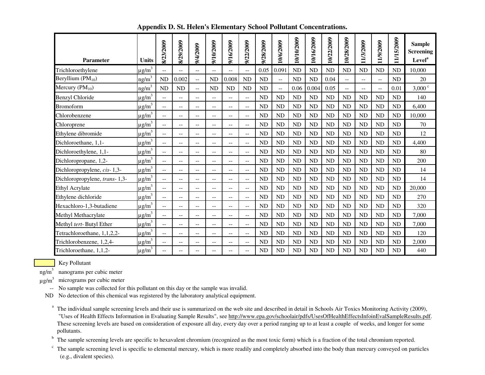| <b>Parameter</b>              | <b>Units</b>           | 8/23/2009         | 8/29/2009 | 9/4/2009                 | 9/10/2009                | 9/16/2009                | 9/22/2009                | 9/28/2009 | 10/6/2009      | 10/10/2009 | 10/16/2009 | 10/22/2009 | 10/28/2009 | 11/3/2009 | 11/9/2009      | 5/2009<br>$\Xi$ | <b>Sample</b><br><b>Screening</b><br>Level <sup>a</sup> |
|-------------------------------|------------------------|-------------------|-----------|--------------------------|--------------------------|--------------------------|--------------------------|-----------|----------------|------------|------------|------------|------------|-----------|----------------|-----------------|---------------------------------------------------------|
| Trichloroethylene             | $\mu$ g/m <sup>3</sup> | $- -$             | $-$       | $- -$                    | $- -$                    | $\overline{a}$           | $\overline{\phantom{a}}$ | 0.05      | 0.091          | <b>ND</b>  | <b>ND</b>  | ND         | <b>ND</b>  | <b>ND</b> | ND             | <b>ND</b>       | 10,000                                                  |
| Beryllium $(PM_{10})$         | $ng/m^3$               | <b>ND</b>         | 0.002     | $-$                      | <b>ND</b>                | 0.008                    | <b>ND</b>                | <b>ND</b> | $\overline{a}$ | <b>ND</b>  | <b>ND</b>  | 0.04       | $-$        | $-$       | $-$            | <b>ND</b>       | 20                                                      |
| Mercury $(PM_{10})$           | ng/m <sup>3</sup>      | <b>ND</b>         | <b>ND</b> | --                       | <b>ND</b>                | ND                       | <b>ND</b>                | <b>ND</b> | $\overline{a}$ | 0.06       | 0.004      | 0.05       | $-$        | $-$       | $\overline{a}$ | 0.01            | $3,000^{\circ}$                                         |
| Benzyl Chloride               | $\mu$ g/m <sup>3</sup> | $\qquad \qquad -$ | $- -$     | $-$                      | $- -$                    | $-$                      | $\overline{\phantom{a}}$ | <b>ND</b> | <b>ND</b>      | <b>ND</b>  | <b>ND</b>  | <b>ND</b>  | <b>ND</b>  | <b>ND</b> | <b>ND</b>      | <b>ND</b>       | 140                                                     |
| <b>Bromoform</b>              | $\mu$ g/m <sup>3</sup> | $\overline{a}$    | $- -$     | $\overline{a}$           | $\overline{\phantom{a}}$ | $\overline{a}$           | $\overline{\phantom{a}}$ | <b>ND</b> | <b>ND</b>      | ND         | <b>ND</b>  | ND         | ND         | <b>ND</b> | <b>ND</b>      | ND              | 6,400                                                   |
| Chlorobenzene                 | $\mu$ g/m <sup>3</sup> | $\overline{a}$    | $- -$     | $-$                      | $\overline{\phantom{a}}$ | $-$                      | $\overline{\phantom{a}}$ | <b>ND</b> | <b>ND</b>      | <b>ND</b>  | <b>ND</b>  | ND         | ND         | <b>ND</b> | ND             | <b>ND</b>       | 10,000                                                  |
| Chloroprene                   | $\mu$ g/m <sup>3</sup> | $- -$             | $-$       | $\overline{a}$           | $\overline{\phantom{m}}$ | $-$                      | $- -$                    | <b>ND</b> | <b>ND</b>      | <b>ND</b>  | <b>ND</b>  | ND         | <b>ND</b>  | <b>ND</b> | ND             | <b>ND</b>       | 70                                                      |
| Ethylene dibromide            | $\mu$ g/m <sup>3</sup> | $- -$             | $- -$     | $\overline{\phantom{a}}$ | $--$                     | $\overline{\phantom{a}}$ | $\overline{\phantom{a}}$ | <b>ND</b> | <b>ND</b>      | <b>ND</b>  | <b>ND</b>  | ND         | <b>ND</b>  | <b>ND</b> | ND             | <b>ND</b>       | 12                                                      |
| Dichloroethane, 1,1-          | $\mu$ g/m <sup>3</sup> | $\overline{a}$    | $- -$     | $-$                      | $\overline{\phantom{a}}$ | $-$                      | $- -$                    | <b>ND</b> | ND             | <b>ND</b>  | <b>ND</b>  | ND         | <b>ND</b>  | <b>ND</b> | ND             | <b>ND</b>       | 4,400                                                   |
| Dichloroethylene, 1,1-        | $\mu$ g/m <sup>3</sup> | $- -$             | $- -$     | $-$                      | $\overline{\phantom{a}}$ | $\overline{\phantom{a}}$ | $\overline{\phantom{a}}$ | <b>ND</b> | ND             | <b>ND</b>  | <b>ND</b>  | ND         | <b>ND</b>  | <b>ND</b> | <b>ND</b>      | <b>ND</b>       | 80                                                      |
| Dichloropropane, 1,2-         | $\mu$ g/m <sup>3</sup> | $-$               | --        | --                       | --                       | --                       | $- -$                    | <b>ND</b> | <b>ND</b>      | <b>ND</b>  | <b>ND</b>  | <b>ND</b>  | <b>ND</b>  | <b>ND</b> | <b>ND</b>      | <b>ND</b>       | 200                                                     |
| Dichloropropylene, cis-1,3-   | $\mu$ g/m <sup>3</sup> | $-$               | --        | --                       | --                       | $-$                      |                          | <b>ND</b> | ND             | <b>ND</b>  | <b>ND</b>  | ND         | <b>ND</b>  | <b>ND</b> | <b>ND</b>      | <b>ND</b>       | 14                                                      |
| Dichloropropylene, trans-1,3- | $\mu$ g/m <sup>3</sup> | $\qquad \qquad -$ | --        | $-$                      | $\qquad \qquad -$        | $\overline{\phantom{a}}$ | $\overline{\phantom{a}}$ | <b>ND</b> | <b>ND</b>      | <b>ND</b>  | <b>ND</b>  | ND         | ND         | <b>ND</b> | ND             | <b>ND</b>       | 14                                                      |
| Ethyl Acrylate                | $\mu$ g/m <sup>3</sup> | $- -$             | $- -$     | $\overline{\phantom{a}}$ | $-$                      | $\overline{\phantom{a}}$ | $-$                      | <b>ND</b> | <b>ND</b>      | <b>ND</b>  | <b>ND</b>  | ND         | ND         | <b>ND</b> | ND             | <b>ND</b>       | 20,000                                                  |
| Ethylene dichloride           | $\mu$ g/m <sup>3</sup> | $-$               | $- -$     | $-$                      | $\qquad \qquad -$        | $-$                      | $\overline{\phantom{m}}$ | <b>ND</b> | <b>ND</b>      | <b>ND</b>  | <b>ND</b>  | <b>ND</b>  | <b>ND</b>  | <b>ND</b> | <b>ND</b>      | <b>ND</b>       | 270                                                     |
| Hexachloro-1,3-butadiene      | $\mu$ g/m <sup>3</sup> | $-$               | $- -$     | $\overline{\phantom{m}}$ | $\overline{\phantom{m}}$ | $\overline{\phantom{m}}$ | $\overline{\phantom{m}}$ | <b>ND</b> | <b>ND</b>      | <b>ND</b>  | <b>ND</b>  | <b>ND</b>  | <b>ND</b>  | <b>ND</b> | <b>ND</b>      | <b>ND</b>       | 320                                                     |
| Methyl Methacrylate           | $\mu$ g/m <sup>3</sup> | $- -$             | $- -$     | $-$                      | $\qquad \qquad -$        | $\overline{\phantom{a}}$ | $ -$                     | <b>ND</b> | <b>ND</b>      | <b>ND</b>  | <b>ND</b>  | <b>ND</b>  | <b>ND</b>  | <b>ND</b> | <b>ND</b>      | <b>ND</b>       | 7,000                                                   |
| Methyl tert-Butyl Ether       | $\mu$ g/m <sup>3</sup> | $- -$             | $- -$     | $\overline{\phantom{a}}$ | $\qquad \qquad -$        | $\overline{\phantom{a}}$ | $\mathbf{u}$             | <b>ND</b> | <b>ND</b>      | <b>ND</b>  | <b>ND</b>  | ND         | <b>ND</b>  | <b>ND</b> | ND             | <b>ND</b>       | 7,000                                                   |
| Tetrachloroethane, 1,1,2,2-   | $\mu$ g/m <sup>3</sup> | $\qquad \qquad -$ | $- -$     | $-$                      | $\qquad \qquad -$        | $\overline{\phantom{a}}$ | $ -$                     | <b>ND</b> | <b>ND</b>      | <b>ND</b>  | <b>ND</b>  | <b>ND</b>  | <b>ND</b>  | <b>ND</b> | <b>ND</b>      | <b>ND</b>       | 120                                                     |
| Trichlorobenzene, 1,2,4-      | $\mu$ g/m <sup>3</sup> | $-$               | --        | --                       | $\overline{\phantom{m}}$ | $\overline{\phantom{m}}$ | $\overline{\phantom{a}}$ | <b>ND</b> | <b>ND</b>      | <b>ND</b>  | <b>ND</b>  | <b>ND</b>  | <b>ND</b>  | <b>ND</b> | <b>ND</b>      | <b>ND</b>       | 2,000                                                   |
| Trichloroethane, 1,1,2-       | $\mu$ g/m <sup>3</sup> | --                | --        | --                       | --                       | $-$                      | $\overline{\phantom{a}}$ | <b>ND</b> | <b>ND</b>      | <b>ND</b>  | <b>ND</b>  | <b>ND</b>  | <b>ND</b>  | <b>ND</b> | ND             | <b>ND</b>       | 440                                                     |

**Appendix D. St. Helen's Elementary School Pollutant Concentrations.**

Key Pollutant

ng/m<sup>3</sup> nanograms per cubic meter

 $\mu$ g/m<sup>3</sup> micrograms per cubic meter

-- No sample was collected for this pollutant on this day or the sample was invalid.

ND No detection of this chemical was registered by the laboratory analytical equipment.

<sup>a</sup> The individual sample screening levels and their use is summarized on the web site and described in detail in Schools Air Toxics Monitoring Activity (2009), "Uses of Health Effects Information in Evaluating Sample Results", see http://www.epa.gov/schoolair/pdfs/UsesOfHealthEffectsInfoinEvalSampleResults.pdf. These screening levels are based on consideration of exposure all day, every day over a period ranging up to at least a couple of weeks, and longer for some pollutants.

<sup>b</sup> The sample screening levels are specific to hexavalent chromium (recognized as the most toxic form) which is a fraction of the total chromium reported.

 $\degree$  The sample screening level is specific to elemental mercury, which is more readily and completely absorbed into the body than mercury conveyed on particles (e.g., divalent species).